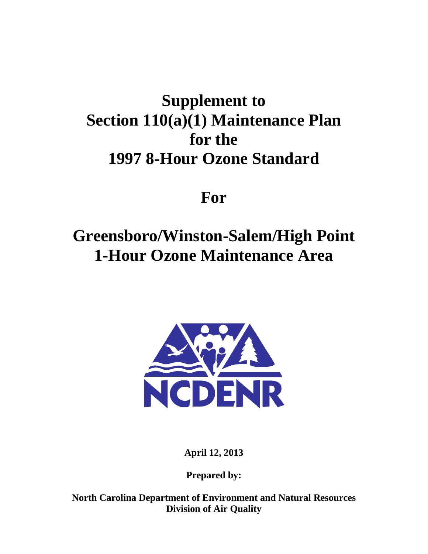# **Supplement to Section 110(a)(1) Maintenance Plan for the 1997 8-Hour Ozone Standard**

# **For**

# **Greensboro/Winston-Salem/High Point 1-Hour Ozone Maintenance Area**



**April 12, 2013**

**Prepared by:**

**North Carolina Department of Environment and Natural Resources Division of Air Quality**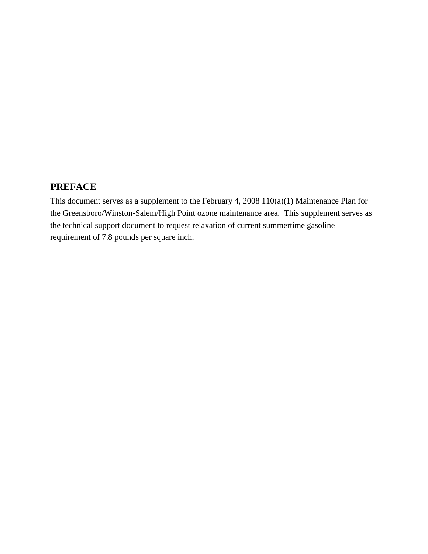# <span id="page-1-0"></span>**PREFACE**

This document serves as a supplement to the February 4, 2008 110(a)(1) Maintenance Plan for the Greensboro/Winston-Salem/High Point ozone maintenance area. This supplement serves as the technical support document to request relaxation of current summertime gasoline requirement of 7.8 pounds per square inch.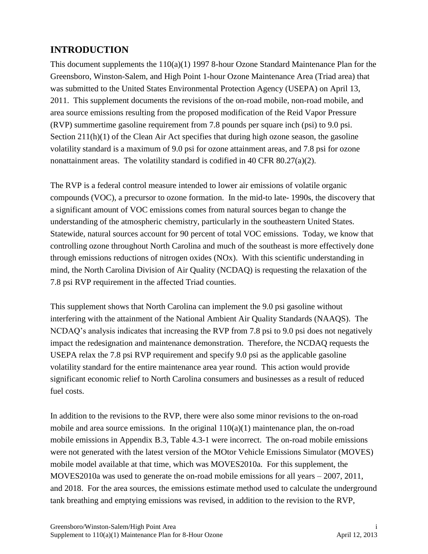# <span id="page-2-0"></span>**INTRODUCTION**

This document supplements the 110(a)(1) 1997 8-hour Ozone Standard Maintenance Plan for the Greensboro, Winston-Salem, and High Point 1-hour Ozone Maintenance Area (Triad area) that was submitted to the United States Environmental Protection Agency (USEPA) on April 13, 2011. This supplement documents the revisions of the on-road mobile, non-road mobile, and area source emissions resulting from the proposed modification of the Reid Vapor Pressure (RVP) summertime gasoline requirement from 7.8 pounds per square inch (psi) to 9.0 psi. Section 211(h)(1) of the Clean Air Act specifies that during high ozone season, the gasoline volatility standard is a maximum of 9.0 psi for ozone attainment areas, and 7.8 psi for ozone nonattainment areas. The volatility standard is codified in 40 CFR 80.27(a)(2).

The RVP is a federal control measure intended to lower air emissions of volatile organic compounds (VOC), a precursor to ozone formation. In the mid-to late- 1990s, the discovery that a significant amount of VOC emissions comes from natural sources began to change the understanding of the atmospheric chemistry, particularly in the southeastern United States. Statewide, natural sources account for 90 percent of total VOC emissions. Today, we know that controlling ozone throughout North Carolina and much of the southeast is more effectively done through emissions reductions of nitrogen oxides (NOx). With this scientific understanding in mind, the North Carolina Division of Air Quality (NCDAQ) is requesting the relaxation of the 7.8 psi RVP requirement in the affected Triad counties.

This supplement shows that North Carolina can implement the 9.0 psi gasoline without interfering with the attainment of the National Ambient Air Quality Standards (NAAQS). The NCDAQ's analysis indicates that increasing the RVP from 7.8 psi to 9.0 psi does not negatively impact the redesignation and maintenance demonstration. Therefore, the NCDAQ requests the USEPA relax the 7.8 psi RVP requirement and specify 9.0 psi as the applicable gasoline volatility standard for the entire maintenance area year round. This action would provide significant economic relief to North Carolina consumers and businesses as a result of reduced fuel costs.

In addition to the revisions to the RVP, there were also some minor revisions to the on-road mobile and area source emissions. In the original  $110(a)(1)$  maintenance plan, the on-road mobile emissions in Appendix B.3, Table 4.3-1 were incorrect. The on-road mobile emissions were not generated with the latest version of the MOtor Vehicle Emissions Simulator (MOVES) mobile model available at that time, which was MOVES2010a. For this supplement, the MOVES2010a was used to generate the on-road mobile emissions for all years – 2007, 2011, and 2018. For the area sources, the emissions estimate method used to calculate the underground tank breathing and emptying emissions was revised, in addition to the revision to the RVP,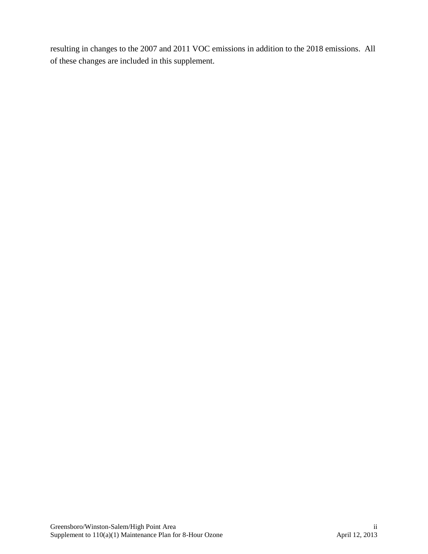resulting in changes to the 2007 and 2011 VOC emissions in addition to the 2018 emissions. All of these changes are included in this supplement.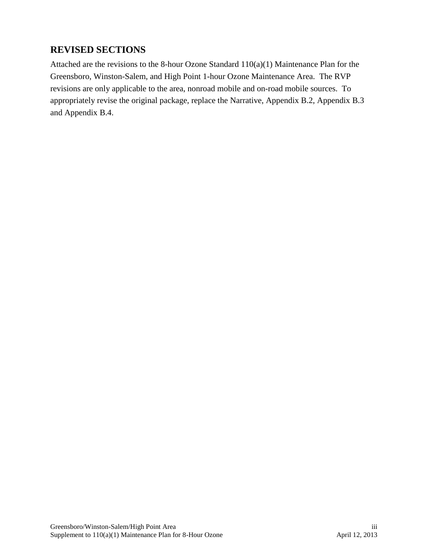# <span id="page-4-0"></span>**REVISED SECTIONS**

Attached are the revisions to the 8-hour Ozone Standard 110(a)(1) Maintenance Plan for the Greensboro, Winston-Salem, and High Point 1-hour Ozone Maintenance Area. The RVP revisions are only applicable to the area, nonroad mobile and on-road mobile sources. To appropriately revise the original package, replace the Narrative, Appendix B.2, Appendix B.3 and Appendix B.4.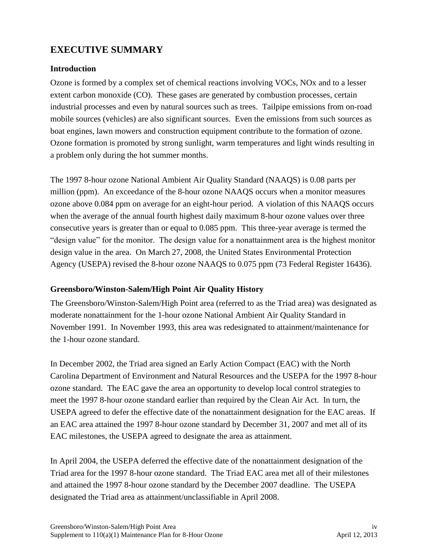# <span id="page-5-0"></span>**EXECUTIVE SUMMARY**

## **Introduction**

Ozone is formed by a complex set of chemical reactions involving VOCs, NOx and to a lesser extent carbon monoxide (CO). These gases are generated by combustion processes, certain industrial processes and even by natural sources such as trees. Tailpipe emissions from on-road mobile sources (vehicles) are also significant sources. Even the emissions from such sources as boat engines, lawn mowers and construction equipment contribute to the formation of ozone. Ozone formation is promoted by strong sunlight, warm temperatures and light winds resulting in a problem only during the hot summer months.

The 1997 8-hour ozone National Ambient Air Quality Standard (NAAQS) is 0.08 parts per million (ppm). An exceedance of the 8-hour ozone NAAQS occurs when a monitor measures ozone above 0.084 ppm on average for an eight-hour period. A violation of this NAAQS occurs when the average of the annual fourth highest daily maximum 8-hour ozone values over three consecutive years is greater than or equal to 0.085 ppm. This three-year average is termed the "design value" for the monitor. The design value for a nonattainment area is the highest monitor design value in the area. On March 27, 2008, the United States Environmental Protection Agency (USEPA) revised the 8-hour ozone NAAQS to 0.075 ppm (73 Federal Register 16436).

## **Greensboro/Winston-Salem/High Point Air Quality History**

The Greensboro/Winston-Salem/High Point area (referred to as the Triad area) was designated as moderate nonattainment for the 1-hour ozone National Ambient Air Quality Standard in November 1991. In November 1993, this area was redesignated to attainment/maintenance for the 1-hour ozone standard.

In December 2002, the Triad area signed an Early Action Compact (EAC) with the North Carolina Department of Environment and Natural Resources and the USEPA for the 1997 8-hour ozone standard. The EAC gave the area an opportunity to develop local control strategies to meet the 1997 8-hour ozone standard earlier than required by the Clean Air Act. In turn, the USEPA agreed to defer the effective date of the nonattainment designation for the EAC areas. If an EAC area attained the 1997 8-hour ozone standard by December 31, 2007 and met all of its EAC milestones, the USEPA agreed to designate the area as attainment.

In April 2004, the USEPA deferred the effective date of the nonattainment designation of the Triad area for the 1997 8-hour ozone standard. The Triad EAC area met all of their milestones and attained the 1997 8-hour ozone standard by the December 2007 deadline. The USEPA designated the Triad area as attainment/unclassifiable in April 2008.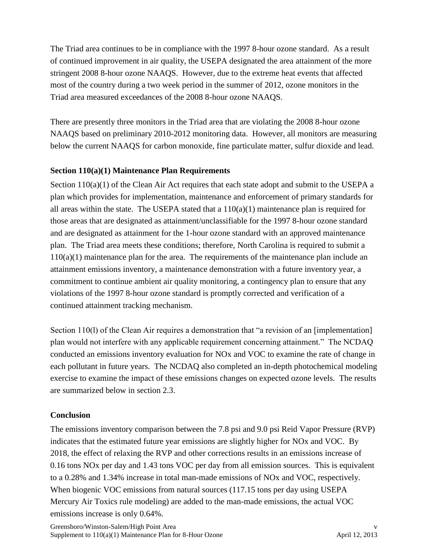The Triad area continues to be in compliance with the 1997 8-hour ozone standard. As a result of continued improvement in air quality, the USEPA designated the area attainment of the more stringent 2008 8-hour ozone NAAQS. However, due to the extreme heat events that affected most of the country during a two week period in the summer of 2012, ozone monitors in the Triad area measured exceedances of the 2008 8-hour ozone NAAQS.

There are presently three monitors in the Triad area that are violating the 2008 8-hour ozone NAAQS based on preliminary 2010-2012 monitoring data. However, all monitors are measuring below the current NAAQS for carbon monoxide, fine particulate matter, sulfur dioxide and lead.

## **Section 110(a)(1) Maintenance Plan Requirements**

Section 110(a)(1) of the Clean Air Act requires that each state adopt and submit to the USEPA a plan which provides for implementation, maintenance and enforcement of primary standards for all areas within the state. The USEPA stated that a  $110(a)(1)$  maintenance plan is required for those areas that are designated as attainment/unclassifiable for the 1997 8-hour ozone standard and are designated as attainment for the 1-hour ozone standard with an approved maintenance plan. The Triad area meets these conditions; therefore, North Carolina is required to submit a  $110(a)(1)$  maintenance plan for the area. The requirements of the maintenance plan include an attainment emissions inventory, a maintenance demonstration with a future inventory year, a commitment to continue ambient air quality monitoring, a contingency plan to ensure that any violations of the 1997 8-hour ozone standard is promptly corrected and verification of a continued attainment tracking mechanism.

Section 110(1) of the Clean Air requires a demonstration that "a revision of an [implementation] plan would not interfere with any applicable requirement concerning attainment." The NCDAQ conducted an emissions inventory evaluation for NOx and VOC to examine the rate of change in each pollutant in future years. The NCDAQ also completed an in-depth photochemical modeling exercise to examine the impact of these emissions changes on expected ozone levels. The results are summarized below in section 2.3.

# **Conclusion**

The emissions inventory comparison between the 7.8 psi and 9.0 psi Reid Vapor Pressure (RVP) indicates that the estimated future year emissions are slightly higher for NOx and VOC. By 2018, the effect of relaxing the RVP and other corrections results in an emissions increase of 0.16 tons NOx per day and 1.43 tons VOC per day from all emission sources. This is equivalent to a 0.28% and 1.34% increase in total man-made emissions of NOx and VOC, respectively. When biogenic VOC emissions from natural sources (117.15 tons per day using USEPA Mercury Air Toxics rule modeling) are added to the man-made emissions, the actual VOC emissions increase is only 0.64%.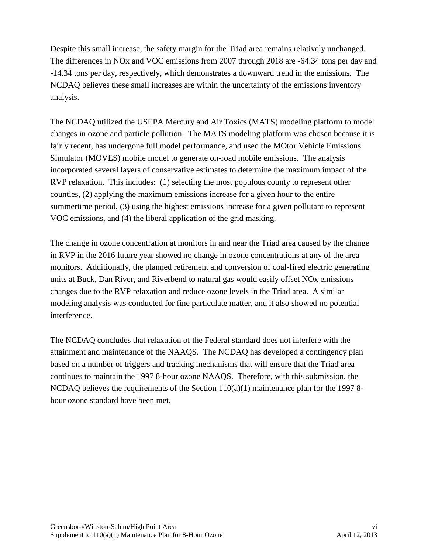Despite this small increase, the safety margin for the Triad area remains relatively unchanged. The differences in NOx and VOC emissions from 2007 through 2018 are -64.34 tons per day and -14.34 tons per day, respectively, which demonstrates a downward trend in the emissions. The NCDAQ believes these small increases are within the uncertainty of the emissions inventory analysis.

The NCDAQ utilized the USEPA Mercury and Air Toxics (MATS) modeling platform to model changes in ozone and particle pollution. The MATS modeling platform was chosen because it is fairly recent, has undergone full model performance, and used the MOtor Vehicle Emissions Simulator (MOVES) mobile model to generate on-road mobile emissions. The analysis incorporated several layers of conservative estimates to determine the maximum impact of the RVP relaxation. This includes: (1) selecting the most populous county to represent other counties, (2) applying the maximum emissions increase for a given hour to the entire summertime period, (3) using the highest emissions increase for a given pollutant to represent VOC emissions, and (4) the liberal application of the grid masking.

The change in ozone concentration at monitors in and near the Triad area caused by the change in RVP in the 2016 future year showed no change in ozone concentrations at any of the area monitors. Additionally, the planned retirement and conversion of coal-fired electric generating units at Buck, Dan River, and Riverbend to natural gas would easily offset NOx emissions changes due to the RVP relaxation and reduce ozone levels in the Triad area. A similar modeling analysis was conducted for fine particulate matter, and it also showed no potential interference.

The NCDAQ concludes that relaxation of the Federal standard does not interfere with the attainment and maintenance of the NAAQS. The NCDAQ has developed a contingency plan based on a number of triggers and tracking mechanisms that will ensure that the Triad area continues to maintain the 1997 8-hour ozone NAAQS. Therefore, with this submission, the NCDAQ believes the requirements of the Section 110(a)(1) maintenance plan for the 1997 8 hour ozone standard have been met.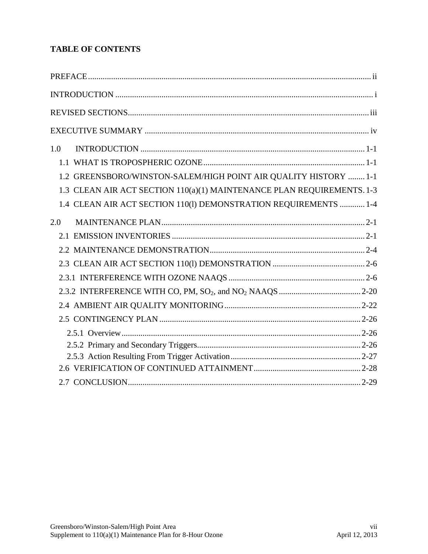# **TABLE OF CONTENTS**

| 1.0                                                                    |  |
|------------------------------------------------------------------------|--|
|                                                                        |  |
| 1.2 GREENSBORO/WINSTON-SALEM/HIGH POINT AIR QUALITY HISTORY  1-1       |  |
| 1.3 CLEAN AIR ACT SECTION 110(a)(1) MAINTENANCE PLAN REQUIREMENTS. 1-3 |  |
| 1.4 CLEAN AIR ACT SECTION 110(1) DEMONSTRATION REQUIREMENTS  1-4       |  |
| 2.0                                                                    |  |
|                                                                        |  |
|                                                                        |  |
|                                                                        |  |
|                                                                        |  |
|                                                                        |  |
|                                                                        |  |
|                                                                        |  |
|                                                                        |  |
|                                                                        |  |
|                                                                        |  |
|                                                                        |  |
|                                                                        |  |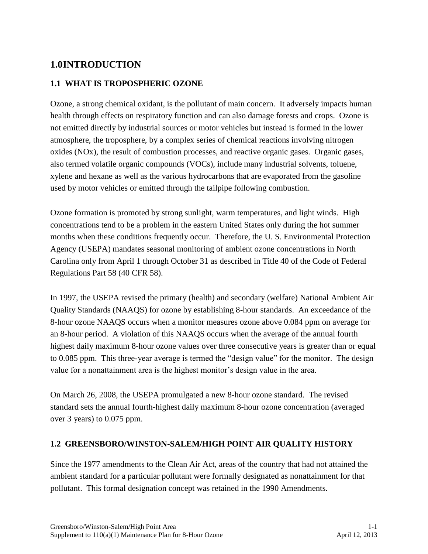# <span id="page-9-0"></span>**1.0INTRODUCTION**

## <span id="page-9-1"></span>**1.1 WHAT IS TROPOSPHERIC OZONE**

Ozone, a strong chemical oxidant, is the pollutant of main concern. It adversely impacts human health through effects on respiratory function and can also damage forests and crops. Ozone is not emitted directly by industrial sources or motor vehicles but instead is formed in the lower atmosphere, the troposphere, by a complex series of chemical reactions involving nitrogen oxides (NOx), the result of combustion processes, and reactive organic gases. Organic gases, also termed volatile organic compounds (VOCs), include many industrial solvents, toluene, xylene and hexane as well as the various hydrocarbons that are evaporated from the gasoline used by motor vehicles or emitted through the tailpipe following combustion.

Ozone formation is promoted by strong sunlight, warm temperatures, and light winds. High concentrations tend to be a problem in the eastern United States only during the hot summer months when these conditions frequently occur. Therefore, the U. S. Environmental Protection Agency (USEPA) mandates seasonal monitoring of ambient ozone concentrations in North Carolina only from April 1 through October 31 as described in Title 40 of the Code of Federal Regulations Part 58 (40 CFR 58).

In 1997, the USEPA revised the primary (health) and secondary (welfare) National Ambient Air Quality Standards (NAAQS) for ozone by establishing 8-hour standards. An exceedance of the 8-hour ozone NAAQS occurs when a monitor measures ozone above 0.084 ppm on average for an 8-hour period. A violation of this NAAQS occurs when the average of the annual fourth highest daily maximum 8-hour ozone values over three consecutive years is greater than or equal to 0.085 ppm. This three-year average is termed the "design value" for the monitor. The design value for a nonattainment area is the highest monitor's design value in the area.

On March 26, 2008, the USEPA promulgated a new 8-hour ozone standard. The revised standard sets the annual fourth-highest daily maximum 8-hour ozone concentration (averaged over 3 years) to 0.075 ppm.

## <span id="page-9-2"></span>**1.2 GREENSBORO/WINSTON-SALEM/HIGH POINT AIR QUALITY HISTORY**

Since the 1977 amendments to the Clean Air Act, areas of the country that had not attained the ambient standard for a particular pollutant were formally designated as nonattainment for that pollutant. This formal designation concept was retained in the 1990 Amendments.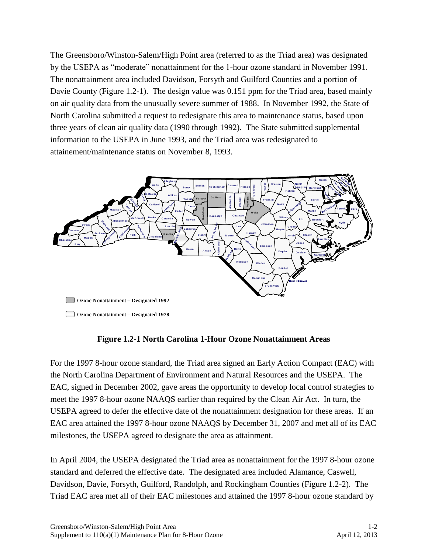The Greensboro/Winston-Salem/High Point area (referred to as the Triad area) was designated by the USEPA as "moderate" nonattainment for the 1-hour ozone standard in November 1991. The nonattainment area included Davidson, Forsyth and Guilford Counties and a portion of Davie County (Figure 1.2-1). The design value was 0.151 ppm for the Triad area, based mainly on air quality data from the unusually severe summer of 1988. In November 1992, the State of North Carolina submitted a request to redesignate this area to maintenance status, based upon three years of clean air quality data (1990 through 1992). The State submitted supplemental information to the USEPA in June 1993, and the Triad area was redesignated to attainement/maintenance status on November 8, 1993.



Ozone Nonattainment – Designated 1978

### **Figure 1.2-1 North Carolina 1-Hour Ozone Nonattainment Areas**

For the 1997 8-hour ozone standard, the Triad area signed an Early Action Compact (EAC) with the North Carolina Department of Environment and Natural Resources and the USEPA. The EAC, signed in December 2002, gave areas the opportunity to develop local control strategies to meet the 1997 8-hour ozone NAAQS earlier than required by the Clean Air Act. In turn, the USEPA agreed to defer the effective date of the nonattainment designation for these areas. If an EAC area attained the 1997 8-hour ozone NAAQS by December 31, 2007 and met all of its EAC milestones, the USEPA agreed to designate the area as attainment.

In April 2004, the USEPA designated the Triad area as nonattainment for the 1997 8-hour ozone standard and deferred the effective date. The designated area included Alamance, Caswell, Davidson, Davie, Forsyth, Guilford, Randolph, and Rockingham Counties (Figure 1.2-2). The Triad EAC area met all of their EAC milestones and attained the 1997 8-hour ozone standard by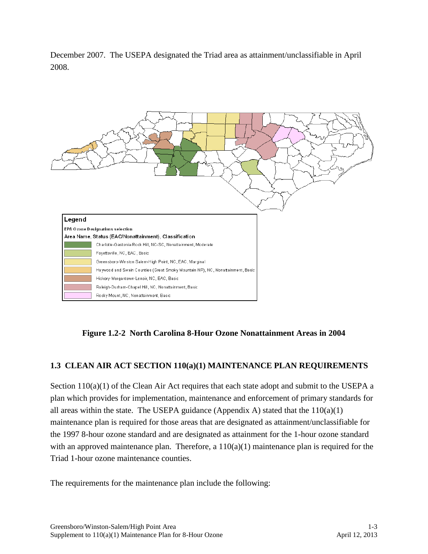December 2007. The USEPA designated the Triad area as attainment/unclassifiable in April 2008.



**Figure 1.2-2 North Carolina 8-Hour Ozone Nonattainment Areas in 2004**

## <span id="page-11-0"></span>**1.3 CLEAN AIR ACT SECTION 110(a)(1) MAINTENANCE PLAN REQUIREMENTS**

Section 110(a)(1) of the Clean Air Act requires that each state adopt and submit to the USEPA a plan which provides for implementation, maintenance and enforcement of primary standards for all areas within the state. The USEPA guidance (Appendix A) stated that the  $110(a)(1)$ maintenance plan is required for those areas that are designated as attainment/unclassifiable for the 1997 8-hour ozone standard and are designated as attainment for the 1-hour ozone standard with an approved maintenance plan. Therefore, a  $110(a)(1)$  maintenance plan is required for the Triad 1-hour ozone maintenance counties.

The requirements for the maintenance plan include the following: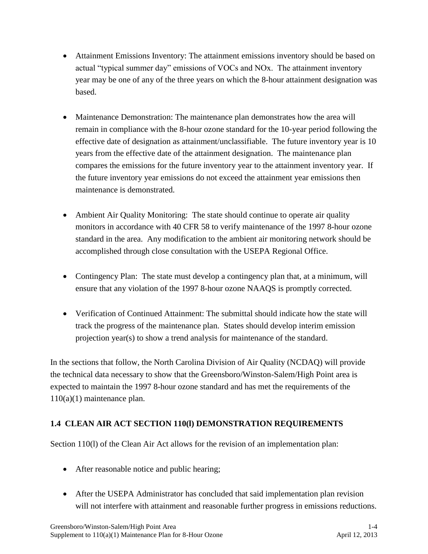- Attainment Emissions Inventory: The attainment emissions inventory should be based on actual "typical summer day" emissions of VOCs and NOx. The attainment inventory year may be one of any of the three years on which the 8-hour attainment designation was based.
- Maintenance Demonstration: The maintenance plan demonstrates how the area will remain in compliance with the 8-hour ozone standard for the 10-year period following the effective date of designation as attainment/unclassifiable. The future inventory year is 10 years from the effective date of the attainment designation. The maintenance plan compares the emissions for the future inventory year to the attainment inventory year. If the future inventory year emissions do not exceed the attainment year emissions then maintenance is demonstrated.
- Ambient Air Quality Monitoring: The state should continue to operate air quality monitors in accordance with 40 CFR 58 to verify maintenance of the 1997 8-hour ozone standard in the area. Any modification to the ambient air monitoring network should be accomplished through close consultation with the USEPA Regional Office.
- Contingency Plan: The state must develop a contingency plan that, at a minimum, will ensure that any violation of the 1997 8-hour ozone NAAQS is promptly corrected.
- Verification of Continued Attainment: The submittal should indicate how the state will track the progress of the maintenance plan. States should develop interim emission projection year(s) to show a trend analysis for maintenance of the standard.

In the sections that follow, the North Carolina Division of Air Quality (NCDAQ) will provide the technical data necessary to show that the Greensboro/Winston-Salem/High Point area is expected to maintain the 1997 8-hour ozone standard and has met the requirements of the 110(a)(1) maintenance plan.

# <span id="page-12-0"></span>**1.4 CLEAN AIR ACT SECTION 110(l) DEMONSTRATION REQUIREMENTS**

Section 110(l) of the Clean Air Act allows for the revision of an implementation plan:

- After reasonable notice and public hearing;
- After the USEPA Administrator has concluded that said implementation plan revision will not interfere with attainment and reasonable further progress in emissions reductions.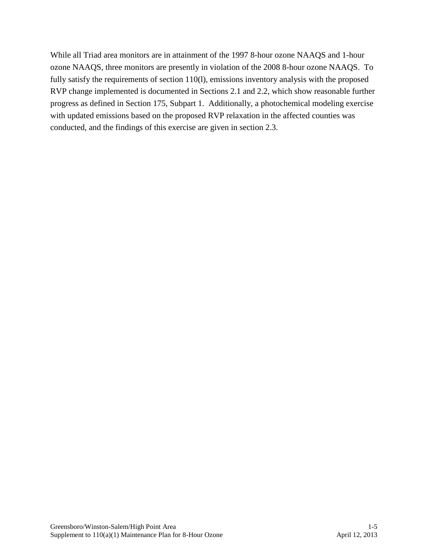While all Triad area monitors are in attainment of the 1997 8-hour ozone NAAQS and 1-hour ozone NAAQS, three monitors are presently in violation of the 2008 8-hour ozone NAAQS. To fully satisfy the requirements of section 110(l), emissions inventory analysis with the proposed RVP change implemented is documented in Sections 2.1 and 2.2, which show reasonable further progress as defined in Section 175, Subpart 1. Additionally, a photochemical modeling exercise with updated emissions based on the proposed RVP relaxation in the affected counties was conducted, and the findings of this exercise are given in section 2.3.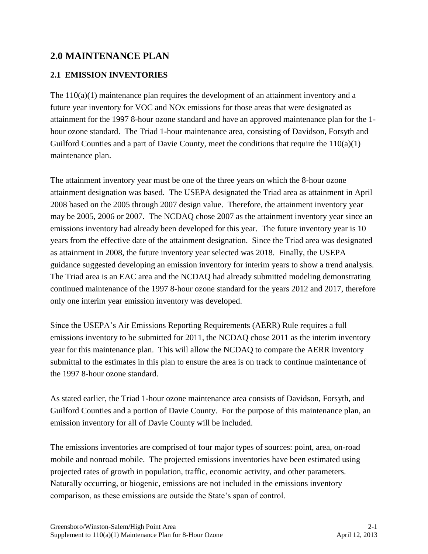# <span id="page-14-0"></span>**2.0 MAINTENANCE PLAN**

# <span id="page-14-1"></span>**2.1 EMISSION INVENTORIES**

The  $110(a)(1)$  maintenance plan requires the development of an attainment inventory and a future year inventory for VOC and NOx emissions for those areas that were designated as attainment for the 1997 8-hour ozone standard and have an approved maintenance plan for the 1 hour ozone standard. The Triad 1-hour maintenance area, consisting of Davidson, Forsyth and Guilford Counties and a part of Davie County, meet the conditions that require the 110(a)(1) maintenance plan.

The attainment inventory year must be one of the three years on which the 8-hour ozone attainment designation was based. The USEPA designated the Triad area as attainment in April 2008 based on the 2005 through 2007 design value. Therefore, the attainment inventory year may be 2005, 2006 or 2007. The NCDAQ chose 2007 as the attainment inventory year since an emissions inventory had already been developed for this year. The future inventory year is 10 years from the effective date of the attainment designation. Since the Triad area was designated as attainment in 2008, the future inventory year selected was 2018. Finally, the USEPA guidance suggested developing an emission inventory for interim years to show a trend analysis. The Triad area is an EAC area and the NCDAQ had already submitted modeling demonstrating continued maintenance of the 1997 8-hour ozone standard for the years 2012 and 2017, therefore only one interim year emission inventory was developed.

Since the USEPA's Air Emissions Reporting Requirements (AERR) Rule requires a full emissions inventory to be submitted for 2011, the NCDAQ chose 2011 as the interim inventory year for this maintenance plan. This will allow the NCDAQ to compare the AERR inventory submittal to the estimates in this plan to ensure the area is on track to continue maintenance of the 1997 8-hour ozone standard.

As stated earlier, the Triad 1-hour ozone maintenance area consists of Davidson, Forsyth, and Guilford Counties and a portion of Davie County. For the purpose of this maintenance plan, an emission inventory for all of Davie County will be included.

The emissions inventories are comprised of four major types of sources: point, area, on-road mobile and nonroad mobile. The projected emissions inventories have been estimated using projected rates of growth in population, traffic, economic activity, and other parameters. Naturally occurring, or biogenic, emissions are not included in the emissions inventory comparison, as these emissions are outside the State's span of control.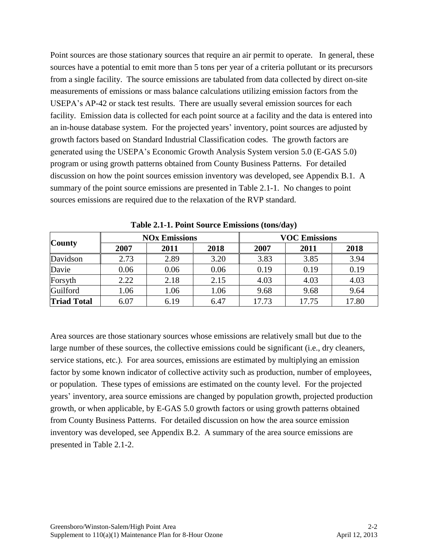Point sources are those stationary sources that require an air permit to operate. In general, these sources have a potential to emit more than 5 tons per year of a criteria pollutant or its precursors from a single facility. The source emissions are tabulated from data collected by direct on-site measurements of emissions or mass balance calculations utilizing emission factors from the USEPA's AP-42 or stack test results. There are usually several emission sources for each facility. Emission data is collected for each point source at a facility and the data is entered into an in-house database system. For the projected years' inventory, point sources are adjusted by growth factors based on Standard Industrial Classification codes. The growth factors are generated using the USEPA's Economic Growth Analysis System version 5.0 (E-GAS 5.0) program or using growth patterns obtained from County Business Patterns. For detailed discussion on how the point sources emission inventory was developed, see Appendix B.1. A summary of the point source emissions are presented in Table 2.1-1. No changes to point sources emissions are required due to the relaxation of the RVP standard.

| <b>County</b>      |      | <b>NO<sub>x</sub></b> Emissions |      | <b>VOC Emissions</b> |       |       |  |
|--------------------|------|---------------------------------|------|----------------------|-------|-------|--|
|                    | 2007 | 2011                            | 2018 | 2007                 | 2011  | 2018  |  |
| Davidson           | 2.73 | 2.89                            | 3.20 | 3.83                 | 3.85  | 3.94  |  |
| Davie              | 0.06 | 0.06                            | 0.06 | 0.19                 | 0.19  | 0.19  |  |
| Forsyth            | 2.22 | 2.18                            | 2.15 | 4.03                 | 4.03  | 4.03  |  |
| Guilford           | 1.06 | 1.06                            | 1.06 | 9.68                 | 9.68  | 9.64  |  |
| <b>Triad Total</b> | 6.07 | 6.19                            | 6.47 | 17.73                | 17.75 | 17.80 |  |

**Table 2.1-1. Point Source Emissions (tons/day)**

Area sources are those stationary sources whose emissions are relatively small but due to the large number of these sources, the collective emissions could be significant (i.e., dry cleaners, service stations, etc.). For area sources, emissions are estimated by multiplying an emission factor by some known indicator of collective activity such as production, number of employees, or population. These types of emissions are estimated on the county level. For the projected years' inventory, area source emissions are changed by population growth, projected production growth, or when applicable, by E-GAS 5.0 growth factors or using growth patterns obtained from County Business Patterns. For detailed discussion on how the area source emission inventory was developed, see Appendix B.2. A summary of the area source emissions are presented in Table 2.1-2.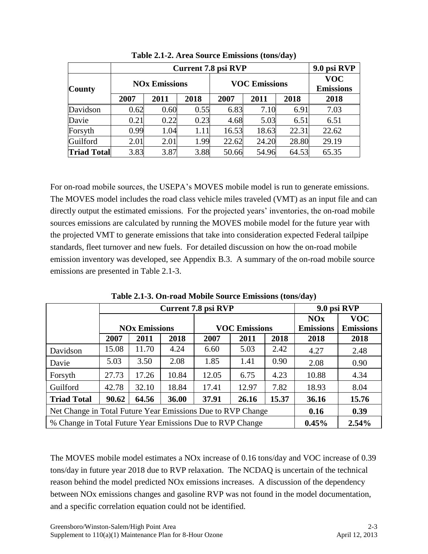|                    |      | 9.0 psi RVP          |      |       |                      |                                |       |
|--------------------|------|----------------------|------|-------|----------------------|--------------------------------|-------|
| <b>County</b>      |      | <b>NOx Emissions</b> |      |       | <b>VOC Emissions</b> | <b>VOC</b><br><b>Emissions</b> |       |
|                    | 2007 | 2011                 | 2018 | 2007  | 2011                 | 2018                           | 2018  |
| Davidson           | 0.62 | 0.60                 | 0.55 | 6.83  | 7.10                 | 6.91                           | 7.03  |
| Davie              | 0.21 | 0.22                 | 0.23 | 4.68  | 5.03                 | 6.51                           | 6.51  |
| Forsyth            | 0.99 | 1.04                 | 1.11 | 16.53 | 18.63                | 22.31                          | 22.62 |
| Guilford           | 2.01 | 2.01                 | 1.99 | 22.62 | 24.20                | 28.80                          | 29.19 |
| <b>Triad Total</b> | 3.83 | 3.87                 | 3.88 | 50.66 | 54.96                | 64.53                          | 65.35 |

**Table 2.1-2. Area Source Emissions (tons/day)**

For on-road mobile sources, the USEPA's MOVES mobile model is run to generate emissions. The MOVES model includes the road class vehicle miles traveled (VMT) as an input file and can directly output the estimated emissions. For the projected years' inventories, the on-road mobile sources emissions are calculated by running the MOVES mobile model for the future year with the projected VMT to generate emissions that take into consideration expected Federal tailpipe standards, fleet turnover and new fuels. For detailed discussion on how the on-road mobile emission inventory was developed, see Appendix B.3. A summary of the on-road mobile source emissions are presented in Table 2.1-3.

|                                                             |       |                      |       | <b>Current 7.8 psi RVP</b> |                      | 9.0 psi RVP      |                  |            |
|-------------------------------------------------------------|-------|----------------------|-------|----------------------------|----------------------|------------------|------------------|------------|
|                                                             |       |                      |       |                            |                      |                  | <b>NOx</b>       | <b>VOC</b> |
|                                                             |       | <b>NOx Emissions</b> |       |                            | <b>VOC Emissions</b> | <b>Emissions</b> | <b>Emissions</b> |            |
|                                                             | 2007  | 2011                 | 2018  | 2007                       | 2011                 | 2018             | 2018             | 2018       |
| Davidson                                                    | 15.08 | 11.70                | 4.24  | 6.60                       | 5.03                 | 2.42             | 4.27             | 2.48       |
| Davie                                                       | 5.03  | 3.50                 | 2.08  | 1.85                       | 1.41                 | 0.90             | 2.08             | 0.90       |
| Forsyth                                                     | 27.73 | 17.26                | 10.84 | 12.05                      | 6.75                 | 4.23             | 10.88            | 4.34       |
| Guilford                                                    | 42.78 | 32.10                | 18.84 | 17.41                      | 12.97                | 7.82             | 18.93            | 8.04       |
| <b>Triad Total</b>                                          | 90.62 | 64.56                | 36.00 | 37.91                      | 26.16                | 36.16            | 15.76            |            |
| Net Change in Total Future Year Emissions Due to RVP Change |       |                      |       |                            |                      | 0.16             | 0.39             |            |
| % Change in Total Future Year Emissions Due to RVP Change   |       |                      |       |                            |                      |                  | 0.45%            | 2.54%      |

**Table 2.1-3. On-road Mobile Source Emissions (tons/day)**

The MOVES mobile model estimates a NOx increase of 0.16 tons/day and VOC increase of 0.39 tons/day in future year 2018 due to RVP relaxation. The NCDAQ is uncertain of the technical reason behind the model predicted NOx emissions increases. A discussion of the dependency between NOx emissions changes and gasoline RVP was not found in the model documentation, and a specific correlation equation could not be identified.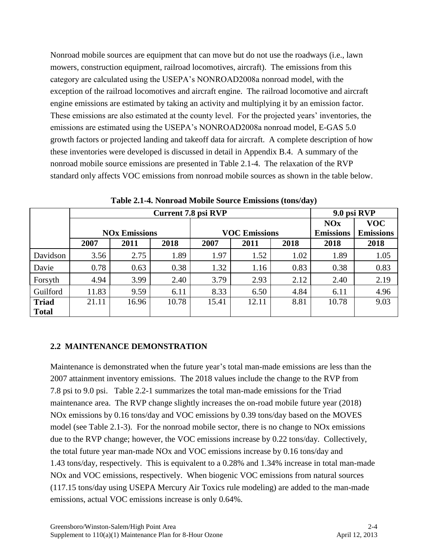Nonroad mobile sources are equipment that can move but do not use the roadways (i.e., lawn mowers, construction equipment, railroad locomotives, aircraft). The emissions from this category are calculated using the USEPA's NONROAD2008a nonroad model, with the exception of the railroad locomotives and aircraft engine. The railroad locomotive and aircraft engine emissions are estimated by taking an activity and multiplying it by an emission factor. These emissions are also estimated at the county level. For the projected years' inventories, the emissions are estimated using the USEPA's NONROAD2008a nonroad model, E-GAS 5.0 growth factors or projected landing and takeoff data for aircraft. A complete description of how these inventories were developed is discussed in detail in Appendix B.4. A summary of the nonroad mobile source emissions are presented in Table 2.1-4. The relaxation of the RVP standard only affects VOC emissions from nonroad mobile sources as shown in the table below.

|              |       | 9.0 psi RVP                     |       |       |                      |                  |                  |            |
|--------------|-------|---------------------------------|-------|-------|----------------------|------------------|------------------|------------|
|              |       |                                 |       |       |                      |                  | <b>NOx</b>       | <b>VOC</b> |
|              |       | <b>NO<sub>x</sub></b> Emissions |       |       | <b>VOC Emissions</b> | <b>Emissions</b> | <b>Emissions</b> |            |
|              | 2007  | 2011                            | 2018  | 2007  | 2011                 | 2018             | 2018             | 2018       |
| Davidson     | 3.56  | 2.75                            | 1.89  | 1.97  | 1.52                 | 1.02             | 1.89             | 1.05       |
| Davie        | 0.78  | 0.63                            | 0.38  | 1.32  | 1.16                 | 0.83             | 0.38             | 0.83       |
| Forsyth      | 4.94  | 3.99                            | 2.40  | 3.79  | 2.93                 | 2.12             | 2.40             | 2.19       |
| Guilford     | 11.83 | 9.59                            | 6.11  | 8.33  | 6.50                 | 4.84             | 6.11             | 4.96       |
| <b>Triad</b> | 21.11 | 16.96                           | 10.78 | 15.41 | 12.11                | 8.81             | 10.78            | 9.03       |
| <b>Total</b> |       |                                 |       |       |                      |                  |                  |            |

**Table 2.1-4. Nonroad Mobile Source Emissions (tons/day)**

### <span id="page-17-0"></span>**2.2 MAINTENANCE DEMONSTRATION**

Maintenance is demonstrated when the future year's total man-made emissions are less than the 2007 attainment inventory emissions. The 2018 values include the change to the RVP from 7.8 psi to 9.0 psi. Table 2.2-1 summarizes the total man-made emissions for the Triad maintenance area. The RVP change slightly increases the on-road mobile future year (2018) NOx emissions by 0.16 tons/day and VOC emissions by 0.39 tons/day based on the MOVES model (see Table 2.1-3). For the nonroad mobile sector, there is no change to NOx emissions due to the RVP change; however, the VOC emissions increase by 0.22 tons/day. Collectively, the total future year man-made NOx and VOC emissions increase by 0.16 tons/day and 1.43 tons/day, respectively. This is equivalent to a 0.28% and 1.34% increase in total man-made NOx and VOC emissions, respectively. When biogenic VOC emissions from natural sources (117.15 tons/day using USEPA Mercury Air Toxics rule modeling) are added to the man-made emissions, actual VOC emissions increase is only 0.64%.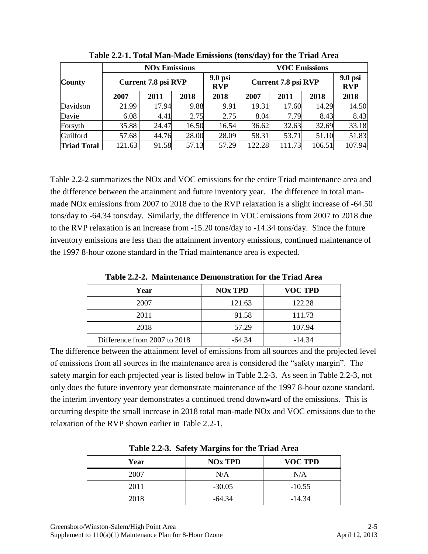|                    |        | <b>NOx Emissions</b>       |       |                         | <b>VOC Emissions</b> |        |        |                         |  |
|--------------------|--------|----------------------------|-------|-------------------------|----------------------|--------|--------|-------------------------|--|
| <b>County</b>      |        | <b>Current 7.8 psi RVP</b> |       | $9.0$ psi<br><b>RVP</b> | Current 7.8 psi RVP  |        |        | $9.0$ psi<br><b>RVP</b> |  |
|                    | 2007   | 2011                       | 2018  | 2018                    | 2007                 | 2011   | 2018   | 2018                    |  |
| Davidson           | 21.99  | 17.94                      | 9.88  | 9.91                    | 19.31                | 17.60  | 14.29  | 14.50                   |  |
| Davie              | 6.08   | 4.41                       | 2.75  | 2.75                    | 8.04                 | 7.79   | 8.43   | 8.43                    |  |
| Forsyth            | 35.88  | 24.47                      | 16.50 | 16.54                   | 36.62                | 32.63  | 32.69  | 33.18                   |  |
| Guilford           | 57.68  | 44.76                      | 28.00 | 28.09                   | 58.31                | 53.71  | 51.10  | 51.83                   |  |
| <b>Triad Total</b> | 121.63 | 91.58                      | 57.13 | 57.29                   | 122.28               | 111.73 | 106.51 | 107.94                  |  |

**Table 2.2-1. Total Man-Made Emissions (tons/day) for the Triad Area**

Table 2.2-2 summarizes the NOx and VOC emissions for the entire Triad maintenance area and the difference between the attainment and future inventory year. The difference in total manmade NOx emissions from 2007 to 2018 due to the RVP relaxation is a slight increase of -64.50 tons/day to -64.34 tons/day. Similarly, the difference in VOC emissions from 2007 to 2018 due to the RVP relaxation is an increase from -15.20 tons/day to -14.34 tons/day. Since the future inventory emissions are less than the attainment inventory emissions, continued maintenance of the 1997 8-hour ozone standard in the Triad maintenance area is expected.

**Year NOx TPD VOC TPD** 2007 121.63 122.28 2011 91.58 111.73 2018 57.29 107.94 Difference from 2007 to 2018  $-64.34$   $-14.34$ 

**Table 2.2-2. Maintenance Demonstration for the Triad Area**

The difference between the attainment level of emissions from all sources and the projected level of emissions from all sources in the maintenance area is considered the "safety margin". The safety margin for each projected year is listed below in Table 2.2-3. As seen in Table 2.2-3, not only does the future inventory year demonstrate maintenance of the 1997 8-hour ozone standard, the interim inventory year demonstrates a continued trend downward of the emissions. This is occurring despite the small increase in 2018 total man-made NOx and VOC emissions due to the relaxation of the RVP shown earlier in Table 2.2-1.

|      | . .            |                |
|------|----------------|----------------|
| Year | <b>NOx TPD</b> | <b>VOC TPD</b> |
| 2007 | N/A            | N/A            |
| 2011 | $-30.05$       | $-10.55$       |
| 2018 | $-64.34$       | $-14.34$       |

**Table 2.2-3. Safety Margins for the Triad Area**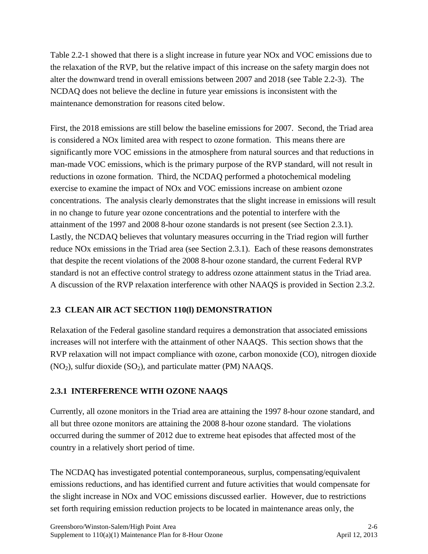Table 2.2-1 showed that there is a slight increase in future year NOx and VOC emissions due to the relaxation of the RVP, but the relative impact of this increase on the safety margin does not alter the downward trend in overall emissions between 2007 and 2018 (see Table 2.2-3). The NCDAQ does not believe the decline in future year emissions is inconsistent with the maintenance demonstration for reasons cited below.

First, the 2018 emissions are still below the baseline emissions for 2007. Second, the Triad area is considered a NOx limited area with respect to ozone formation. This means there are significantly more VOC emissions in the atmosphere from natural sources and that reductions in man-made VOC emissions, which is the primary purpose of the RVP standard, will not result in reductions in ozone formation. Third, the NCDAQ performed a photochemical modeling exercise to examine the impact of NOx and VOC emissions increase on ambient ozone concentrations. The analysis clearly demonstrates that the slight increase in emissions will result in no change to future year ozone concentrations and the potential to interfere with the attainment of the 1997 and 2008 8-hour ozone standards is not present (see Section 2.3.1). Lastly, the NCDAQ believes that voluntary measures occurring in the Triad region will further reduce NOx emissions in the Triad area (see Section 2.3.1). Each of these reasons demonstrates that despite the recent violations of the 2008 8-hour ozone standard, the current Federal RVP standard is not an effective control strategy to address ozone attainment status in the Triad area. A discussion of the RVP relaxation interference with other NAAQS is provided in Section 2.3.2.

# <span id="page-19-0"></span>**2.3 CLEAN AIR ACT SECTION 110(l) DEMONSTRATION**

Relaxation of the Federal gasoline standard requires a demonstration that associated emissions increases will not interfere with the attainment of other NAAQS. This section shows that the RVP relaxation will not impact compliance with ozone, carbon monoxide (CO), nitrogen dioxide  $(NO<sub>2</sub>)$ , sulfur dioxide  $(SO<sub>2</sub>)$ , and particulate matter (PM) NAAQS.

# <span id="page-19-1"></span>**2.3.1 INTERFERENCE WITH OZONE NAAQS**

Currently, all ozone monitors in the Triad area are attaining the 1997 8-hour ozone standard, and all but three ozone monitors are attaining the 2008 8-hour ozone standard. The violations occurred during the summer of 2012 due to extreme heat episodes that affected most of the country in a relatively short period of time.

The NCDAQ has investigated potential contemporaneous, surplus, compensating/equivalent emissions reductions, and has identified current and future activities that would compensate for the slight increase in NOx and VOC emissions discussed earlier. However, due to restrictions set forth requiring emission reduction projects to be located in maintenance areas only, the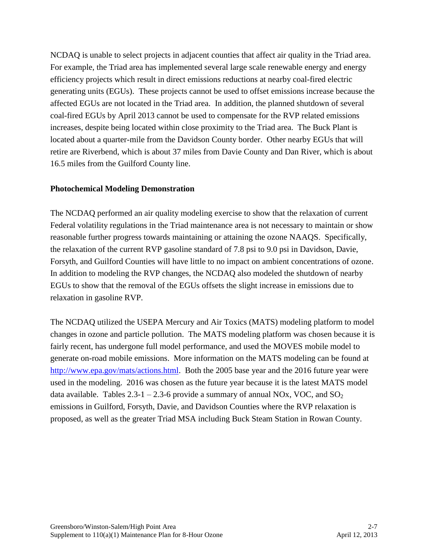NCDAQ is unable to select projects in adjacent counties that affect air quality in the Triad area. For example, the Triad area has implemented several large scale renewable energy and energy efficiency projects which result in direct emissions reductions at nearby coal-fired electric generating units (EGUs). These projects cannot be used to offset emissions increase because the affected EGUs are not located in the Triad area. In addition, the planned shutdown of several coal-fired EGUs by April 2013 cannot be used to compensate for the RVP related emissions increases, despite being located within close proximity to the Triad area. The Buck Plant is located about a quarter-mile from the Davidson County border. Other nearby EGUs that will retire are Riverbend, which is about 37 miles from Davie County and Dan River, which is about 16.5 miles from the Guilford County line.

#### **Photochemical Modeling Demonstration**

The NCDAQ performed an air quality modeling exercise to show that the relaxation of current Federal volatility regulations in the Triad maintenance area is not necessary to maintain or show reasonable further progress towards maintaining or attaining the ozone NAAQS. Specifically, the relaxation of the current RVP gasoline standard of 7.8 psi to 9.0 psi in Davidson, Davie, Forsyth, and Guilford Counties will have little to no impact on ambient concentrations of ozone. In addition to modeling the RVP changes, the NCDAQ also modeled the shutdown of nearby EGUs to show that the removal of the EGUs offsets the slight increase in emissions due to relaxation in gasoline RVP.

The NCDAQ utilized the USEPA Mercury and Air Toxics (MATS) modeling platform to model changes in ozone and particle pollution. The MATS modeling platform was chosen because it is fairly recent, has undergone full model performance, and used the MOVES mobile model to generate on-road mobile emissions. More information on the MATS modeling can be found at [http://www.epa.gov/mats/actions.html.](http://www.epa.gov/mats/actions.html) Both the 2005 base year and the 2016 future year were used in the modeling. 2016 was chosen as the future year because it is the latest MATS model data available. Tables  $2.3\n-1 - 2.3\n-6$  provide a summary of annual NOx, VOC, and SO<sub>2</sub> emissions in Guilford, Forsyth, Davie, and Davidson Counties where the RVP relaxation is proposed, as well as the greater Triad MSA including Buck Steam Station in Rowan County.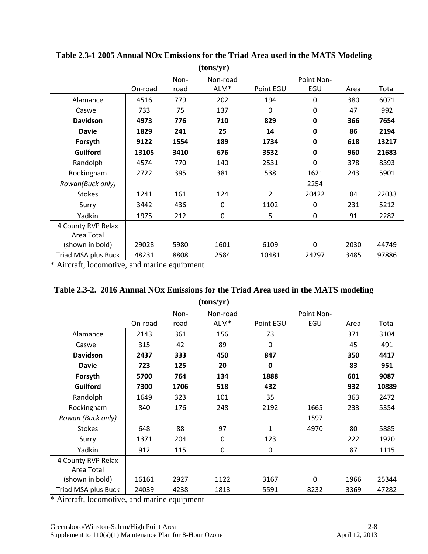|                     |         |      | (tons/yr)        |                |             |      |       |
|---------------------|---------|------|------------------|----------------|-------------|------|-------|
|                     |         | Non- | Non-road         |                | Point Non-  |      |       |
|                     | On-road | road | ALM <sup>*</sup> | Point EGU      | EGU         | Area | Total |
| Alamance            | 4516    | 779  | 202              | 194            | 0           | 380  | 6071  |
| Caswell             | 733     | 75   | 137              | $\mathbf 0$    | $\mathbf 0$ | 47   | 992   |
| <b>Davidson</b>     | 4973    | 776  | 710              | 829            | $\mathbf 0$ | 366  | 7654  |
| <b>Davie</b>        | 1829    | 241  | 25               | 14             | 0           | 86   | 2194  |
| Forsyth             | 9122    | 1554 | 189              | 1734           | $\mathbf 0$ | 618  | 13217 |
| <b>Guilford</b>     | 13105   | 3410 | 676              | 3532           | $\mathbf 0$ | 960  | 21683 |
| Randolph            | 4574    | 770  | 140              | 2531           | $\mathbf 0$ | 378  | 8393  |
| Rockingham          | 2722    | 395  | 381              | 538            | 1621        | 243  | 5901  |
| Rowan(Buck only)    |         |      |                  |                | 2254        |      |       |
| <b>Stokes</b>       | 1241    | 161  | 124              | $\overline{2}$ | 20422       | 84   | 22033 |
| Surry               | 3442    | 436  | 0                | 1102           | $\mathbf 0$ | 231  | 5212  |
| Yadkin              | 1975    | 212  | 0                | 5              | $\mathbf 0$ | 91   | 2282  |
| 4 County RVP Relax  |         |      |                  |                |             |      |       |
| Area Total          |         |      |                  |                |             |      |       |
| (shown in bold)     | 29028   | 5980 | 1601             | 6109           | $\Omega$    | 2030 | 44749 |
| Triad MSA plus Buck | 48231   | 8808 | 2584             | 10481          | 24297       | 3485 | 97886 |

**Table 2.3-1 2005 Annual NOx Emissions for the Triad Area used in the MATS Modeling**

\* Aircraft, locomotive, and marine equipment

| Table 2.3-2. 2016 Annual NOx Emissions for the Triad Area used in the MATS modeling |
|-------------------------------------------------------------------------------------|
| (tons/yr)                                                                           |

|                     |         |      | $\sqrt{2}$  |              |            |      |       |
|---------------------|---------|------|-------------|--------------|------------|------|-------|
|                     |         | Non- | Non-road    |              | Point Non- |      |       |
|                     | On-road | road | ALM*        | Point EGU    | EGU        | Area | Total |
| Alamance            | 2143    | 361  | 156         | 73           |            | 371  | 3104  |
| Caswell             | 315     | 42   | 89          | $\mathbf 0$  |            | 45   | 491   |
| <b>Davidson</b>     | 2437    | 333  | 450         | 847          |            | 350  | 4417  |
| <b>Davie</b>        | 723     | 125  | 20          | 0            |            | 83   | 951   |
| Forsyth             | 5700    | 764  | 134         | 1888         |            | 601  | 9087  |
| Guilford            | 7300    | 1706 | 518         | 432          |            | 932  | 10889 |
| Randolph            | 1649    | 323  | 101         | 35           |            | 363  | 2472  |
| Rockingham          | 840     | 176  | 248         | 2192         | 1665       | 233  | 5354  |
| Rowan (Buck only)   |         |      |             |              | 1597       |      |       |
| <b>Stokes</b>       | 648     | 88   | 97          | $\mathbf{1}$ | 4970       | 80   | 5885  |
| Surry               | 1371    | 204  | 0           | 123          |            | 222  | 1920  |
| Yadkin              | 912     | 115  | $\mathbf 0$ | $\mathbf 0$  |            | 87   | 1115  |
| 4 County RVP Relax  |         |      |             |              |            |      |       |
| Area Total          |         |      |             |              |            |      |       |
| (shown in bold)     | 16161   | 2927 | 1122        | 3167         | $\Omega$   | 1966 | 25344 |
| Triad MSA plus Buck | 24039   | 4238 | 1813        | 5591         | 8232       | 3369 | 47282 |

\* Aircraft, locomotive, and marine equipment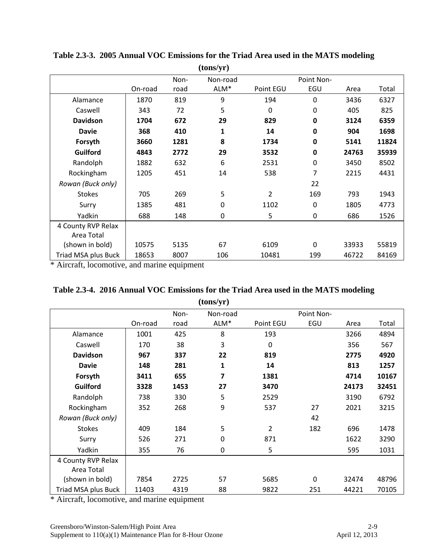|                     |         |      | (tons/yr)   |                |             |       |       |
|---------------------|---------|------|-------------|----------------|-------------|-------|-------|
|                     |         | Non- | Non-road    |                | Point Non-  |       |       |
|                     | On-road | road | ALM*        | Point EGU      | EGU         | Area  | Total |
| Alamance            | 1870    | 819  | 9           | 194            | $\mathbf 0$ | 3436  | 6327  |
| Caswell             | 343     | 72   | 5           | $\mathbf 0$    | 0           | 405   | 825   |
| <b>Davidson</b>     | 1704    | 672  | 29          | 829            | $\bf{0}$    | 3124  | 6359  |
| <b>Davie</b>        | 368     | 410  | 1           | 14             | $\bf{0}$    | 904   | 1698  |
| Forsyth             | 3660    | 1281 | 8           | 1734           | $\bf{0}$    | 5141  | 11824 |
| <b>Guilford</b>     | 4843    | 2772 | 29          | 3532           | $\mathbf 0$ | 24763 | 35939 |
| Randolph            | 1882    | 632  | 6           | 2531           | $\mathbf 0$ | 3450  | 8502  |
| Rockingham          | 1205    | 451  | 14          | 538            | 7           | 2215  | 4431  |
| Rowan (Buck only)   |         |      |             |                | 22          |       |       |
| <b>Stokes</b>       | 705     | 269  | 5           | $\overline{2}$ | 169         | 793   | 1943  |
| Surry               | 1385    | 481  | $\mathbf 0$ | 1102           | $\mathbf 0$ | 1805  | 4773  |
| Yadkin              | 688     | 148  | $\mathbf 0$ | 5              | 0           | 686   | 1526  |
| 4 County RVP Relax  |         |      |             |                |             |       |       |
| Area Total          |         |      |             |                |             |       |       |
| (shown in bold)     | 10575   | 5135 | 67          | 6109           | $\Omega$    | 33933 | 55819 |
| Triad MSA plus Buck | 18653   | 8007 | 106         | 10481          | 199         | 46722 | 84169 |

**Table 2.3-3. 2005 Annual VOC Emissions for the Triad Area used in the MATS modeling**

\* Aircraft, locomotive, and marine equipment

| Table 2.3-4. 2016 Annual VOC Emissions for the Triad Area used in the MATS modeling |  |
|-------------------------------------------------------------------------------------|--|
| (tons/yr)                                                                           |  |

|                     |         |      | $\sqrt{2}$  |                |            |       |       |
|---------------------|---------|------|-------------|----------------|------------|-------|-------|
|                     |         | Non- | Non-road    |                | Point Non- |       |       |
|                     | On-road | road | ALM*        | Point EGU      | EGU        | Area  | Total |
| Alamance            | 1001    | 425  | 8           | 193            |            | 3266  | 4894  |
| Caswell             | 170     | 38   | 3           | $\mathbf 0$    |            | 356   | 567   |
| <b>Davidson</b>     | 967     | 337  | 22          | 819            |            | 2775  | 4920  |
| <b>Davie</b>        | 148     | 281  | 1           | 14             |            | 813   | 1257  |
| Forsyth             | 3411    | 655  | 7           | 1381           |            | 4714  | 10167 |
| Guilford            | 3328    | 1453 | 27          | 3470           |            | 24173 | 32451 |
| Randolph            | 738     | 330  | 5           | 2529           |            | 3190  | 6792  |
| Rockingham          | 352     | 268  | 9           | 537            | 27         | 2021  | 3215  |
| Rowan (Buck only)   |         |      |             |                | 42         |       |       |
| <b>Stokes</b>       | 409     | 184  | 5           | $\overline{2}$ | 182        | 696   | 1478  |
| Surry               | 526     | 271  | $\mathbf 0$ | 871            |            | 1622  | 3290  |
| Yadkin              | 355     | 76   | $\mathbf 0$ | 5              |            | 595   | 1031  |
| 4 County RVP Relax  |         |      |             |                |            |       |       |
| Area Total          |         |      |             |                |            |       |       |
| (shown in bold)     | 7854    | 2725 | 57          | 5685           | 0          | 32474 | 48796 |
| Triad MSA plus Buck | 11403   | 4319 | 88          | 9822           | 251        | 44221 | 70105 |

\* Aircraft, locomotive, and marine equipment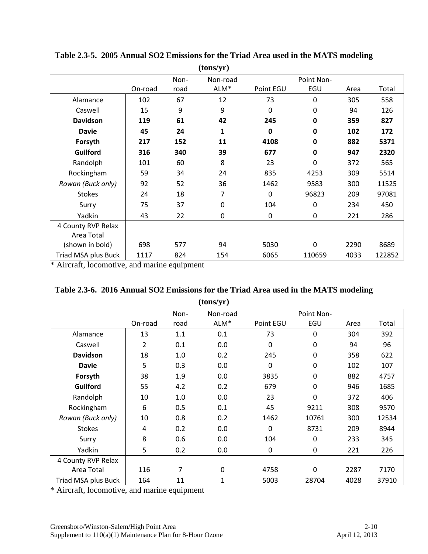| (tons/yr)           |         |      |             |             |             |      |        |
|---------------------|---------|------|-------------|-------------|-------------|------|--------|
|                     |         | Non- | Non-road    |             | Point Non-  |      |        |
|                     | On-road | road | ALM*        | Point EGU   | EGU         | Area | Total  |
| Alamance            | 102     | 67   | 12          | 73          | $\Omega$    | 305  | 558    |
| Caswell             | 15      | 9    | 9           | $\mathbf 0$ | 0           | 94   | 126    |
| <b>Davidson</b>     | 119     | 61   | 42          | 245         | $\mathbf 0$ | 359  | 827    |
| <b>Davie</b>        | 45      | 24   | 1           | 0           | $\mathbf 0$ | 102  | 172    |
| Forsyth             | 217     | 152  | 11          | 4108        | $\mathbf 0$ | 882  | 5371   |
| <b>Guilford</b>     | 316     | 340  | 39          | 677         | 0           | 947  | 2320   |
| Randolph            | 101     | 60   | 8           | 23          | $\mathbf 0$ | 372  | 565    |
| Rockingham          | 59      | 34   | 24          | 835         | 4253        | 309  | 5514   |
| Rowan (Buck only)   | 92      | 52   | 36          | 1462        | 9583        | 300  | 11525  |
| <b>Stokes</b>       | 24      | 18   | 7           | $\mathbf 0$ | 96823       | 209  | 97081  |
| Surry               | 75      | 37   | $\mathbf 0$ | 104         | $\mathbf 0$ | 234  | 450    |
| Yadkin              | 43      | 22   | $\mathbf 0$ | $\mathbf 0$ | $\mathbf 0$ | 221  | 286    |
| 4 County RVP Relax  |         |      |             |             |             |      |        |
| Area Total          |         |      |             |             |             |      |        |
| (shown in bold)     | 698     | 577  | 94          | 5030        | $\Omega$    | 2290 | 8689   |
| Triad MSA plus Buck | 1117    | 824  | 154         | 6065        | 110659      | 4033 | 122852 |

**Table 2.3-5. 2005 Annual SO2 Emissions for the Triad Area used in the MATS modeling**

\* Aircraft, locomotive, and marine equipment

| Table 2.3-6. 2016 Annual SO2 Emissions for the Triad Area used in the MATS modeling |
|-------------------------------------------------------------------------------------|
| (tons/yr)                                                                           |

|                     |                         | Non- | Non-road |             | Point Non-       |      |       |
|---------------------|-------------------------|------|----------|-------------|------------------|------|-------|
|                     | On-road                 | road | ALM*     | Point EGU   | EGU              | Area | Total |
| Alamance            | 13                      | 1.1  | 0.1      | 73          | 0                | 304  | 392   |
| Caswell             | 2                       | 0.1  | 0.0      | $\mathbf 0$ | $\pmb{0}$        | 94   | 96    |
| <b>Davidson</b>     | 18                      | 1.0  | 0.2      | 245         | 0                | 358  | 622   |
| <b>Davie</b>        | 5                       | 0.3  | 0.0      | $\mathbf 0$ | $\pmb{0}$        | 102  | 107   |
| Forsyth             | 38                      | 1.9  | 0.0      | 3835        | 0                | 882  | 4757  |
| Guilford            | 55                      | 4.2  | 0.2      | 679         | 0                | 946  | 1685  |
| Randolph            | 10                      | 1.0  | 0.0      | 23          | $\mathbf 0$      | 372  | 406   |
| Rockingham          | 6                       | 0.5  | 0.1      | 45          | 9211             | 308  | 9570  |
| Rowan (Buck only)   | 10                      | 0.8  | 0.2      | 1462        | 10761            | 300  | 12534 |
| <b>Stokes</b>       | $\overline{\mathbf{4}}$ | 0.2  | 0.0      | $\mathbf 0$ | 8731             | 209  | 8944  |
| Surry               | 8                       | 0.6  | 0.0      | 104         | $\boldsymbol{0}$ | 233  | 345   |
| Yadkin              | 5                       | 0.2  | 0.0      | 0           | 0                | 221  | 226   |
| 4 County RVP Relax  |                         |      |          |             |                  |      |       |
| Area Total          | 116                     | 7    | 0        | 4758        | $\overline{0}$   | 2287 | 7170  |
| Triad MSA plus Buck | 164                     | 11   | 1        | 5003        | 28704            | 4028 | 37910 |

\* Aircraft, locomotive, and marine equipment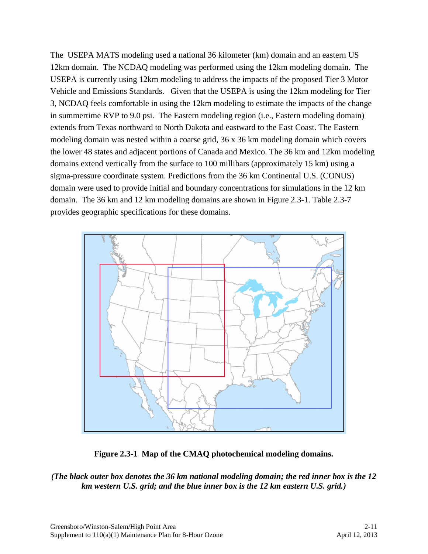The USEPA MATS modeling used a national 36 kilometer (km) domain and an eastern US 12km domain. The NCDAQ modeling was performed using the 12km modeling domain. The USEPA is currently using 12km modeling to address the impacts of the proposed Tier 3 Motor Vehicle and Emissions Standards. Given that the USEPA is using the 12km modeling for Tier 3, NCDAQ feels comfortable in using the 12km modeling to estimate the impacts of the change in summertime RVP to 9.0 psi. The Eastern modeling region (i.e., Eastern modeling domain) extends from Texas northward to North Dakota and eastward to the East Coast. The Eastern modeling domain was nested within a coarse grid, 36 x 36 km modeling domain which covers the lower 48 states and adjacent portions of Canada and Mexico. The 36 km and 12km modeling domains extend vertically from the surface to 100 millibars (approximately 15 km) using a sigma-pressure coordinate system. Predictions from the 36 km Continental U.S. (CONUS) domain were used to provide initial and boundary concentrations for simulations in the 12 km domain. The 36 km and 12 km modeling domains are shown in Figure 2.3-1. Table 2.3-7 provides geographic specifications for these domains.



**Figure 2.3-1 Map of the CMAQ photochemical modeling domains.** 

*(The black outer box denotes the 36 km national modeling domain; the red inner box is the 12 km western U.S. grid; and the blue inner box is the 12 km eastern U.S. grid.)*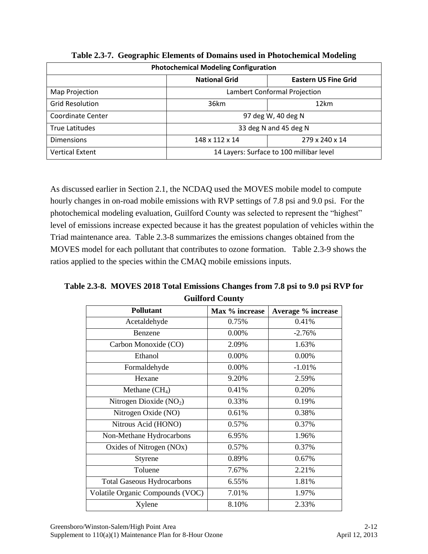| <b>Photochemical Modeling Configuration</b> |                                                     |                       |  |  |  |
|---------------------------------------------|-----------------------------------------------------|-----------------------|--|--|--|
|                                             | <b>National Grid</b><br><b>Eastern US Fine Grid</b> |                       |  |  |  |
| Map Projection                              | Lambert Conformal Projection                        |                       |  |  |  |
| <b>Grid Resolution</b>                      | 36km<br>12km                                        |                       |  |  |  |
| Coordinate Center                           | 97 deg W, 40 deg N                                  |                       |  |  |  |
| True Latitudes                              |                                                     | 33 deg N and 45 deg N |  |  |  |
| <b>Dimensions</b>                           | 148 x 112 x 14<br>279 x 240 x 14                    |                       |  |  |  |
| <b>Vertical Extent</b>                      | 14 Layers: Surface to 100 millibar level            |                       |  |  |  |

**Table 2.3-7. Geographic Elements of Domains used in Photochemical Modeling**

As discussed earlier in Section 2.1, the NCDAQ used the MOVES mobile model to compute hourly changes in on-road mobile emissions with RVP settings of 7.8 psi and 9.0 psi. For the photochemical modeling evaluation, Guilford County was selected to represent the "highest" level of emissions increase expected because it has the greatest population of vehicles within the Triad maintenance area. Table 2.3-8 summarizes the emissions changes obtained from the MOVES model for each pollutant that contributes to ozone formation. Table 2.3-9 shows the ratios applied to the species within the CMAQ mobile emissions inputs.

**Table 2.3-8. MOVES 2018 Total Emissions Changes from 7.8 psi to 9.0 psi RVP for Guilford County**

| <b>Pollutant</b>                  | Max % increase | Average % increase |
|-----------------------------------|----------------|--------------------|
| Acetaldehyde                      | 0.75%          | 0.41%              |
| Benzene                           | 0.00%          | $-2.76%$           |
| Carbon Monoxide (CO)              | 2.09%          | 1.63%              |
| Ethanol                           | 0.00%          | 0.00%              |
| Formaldehyde                      | 0.00%          | $-1.01%$           |
| Hexane                            | 9.20%          | 2.59%              |
| Methane $(CH_4)$                  | 0.41%          | 0.20%              |
| Nitrogen Dioxide $(NO2)$          | 0.33%          | 0.19%              |
| Nitrogen Oxide (NO)               | 0.61%          | 0.38%              |
| Nitrous Acid (HONO)               | 0.57%          | 0.37%              |
| Non-Methane Hydrocarbons          | 6.95%          | 1.96%              |
| Oxides of Nitrogen (NOx)          | 0.57%          | 0.37%              |
| Styrene                           | 0.89%          | 0.67%              |
| Toluene                           | 7.67%          | 2.21%              |
| <b>Total Gaseous Hydrocarbons</b> | 6.55%          | 1.81%              |
| Volatile Organic Compounds (VOC)  | 7.01%          | 1.97%              |
| Xylene                            | 8.10%          | 2.33%              |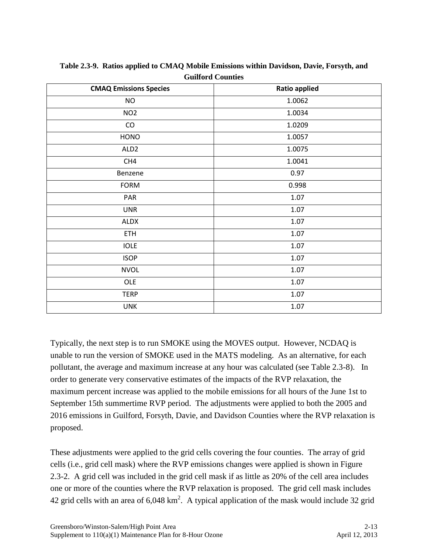| <b>CMAQ Emissions Species</b> | <b>Ratio applied</b> |
|-------------------------------|----------------------|
| $NO$                          | 1.0062               |
| NO <sub>2</sub>               | 1.0034               |
| CO                            | 1.0209               |
| <b>HONO</b>                   | 1.0057               |
| ALD <sub>2</sub>              | 1.0075               |
| CH4                           | 1.0041               |
| Benzene                       | 0.97                 |
| <b>FORM</b>                   | 0.998                |
| PAR                           | 1.07                 |
| <b>UNR</b>                    | 1.07                 |
| ALDX                          | 1.07                 |
| ETH                           | 1.07                 |
| <b>IOLE</b>                   | 1.07                 |
| <b>ISOP</b>                   | 1.07                 |
| <b>NVOL</b>                   | 1.07                 |
| OLE                           | 1.07                 |
| <b>TERP</b>                   | 1.07                 |
| <b>UNK</b>                    | 1.07                 |

**Table 2.3-9. Ratios applied to CMAQ Mobile Emissions within Davidson, Davie, Forsyth, and Guilford Counties**

Typically, the next step is to run SMOKE using the MOVES output. However, NCDAQ is unable to run the version of SMOKE used in the MATS modeling. As an alternative, for each pollutant, the average and maximum increase at any hour was calculated (see Table 2.3-8). In order to generate very conservative estimates of the impacts of the RVP relaxation, the maximum percent increase was applied to the mobile emissions for all hours of the June 1st to September 15th summertime RVP period. The adjustments were applied to both the 2005 and 2016 emissions in Guilford, Forsyth, Davie, and Davidson Counties where the RVP relaxation is proposed.

These adjustments were applied to the grid cells covering the four counties. The array of grid cells (i.e., grid cell mask) where the RVP emissions changes were applied is shown in Figure 2.3-2. A grid cell was included in the grid cell mask if as little as 20% of the cell area includes one or more of the counties where the RVP relaxation is proposed. The grid cell mask includes 42 grid cells with an area of  $6,048 \text{ km}^2$ . A typical application of the mask would include 32 grid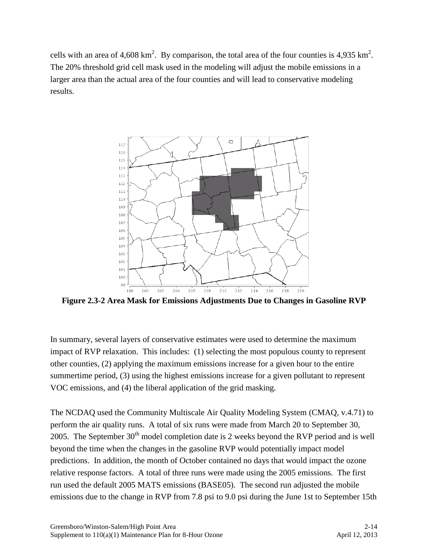cells with an area of 4,608 km<sup>2</sup>. By comparison, the total area of the four counties is 4,935 km<sup>2</sup>. The 20% threshold grid cell mask used in the modeling will adjust the mobile emissions in a larger area than the actual area of the four counties and will lead to conservative modeling results.



**Figure 2.3-2 Area Mask for Emissions Adjustments Due to Changes in Gasoline RVP**

In summary, several layers of conservative estimates were used to determine the maximum impact of RVP relaxation. This includes: (1) selecting the most populous county to represent other counties, (2) applying the maximum emissions increase for a given hour to the entire summertime period, (3) using the highest emissions increase for a given pollutant to represent VOC emissions, and (4) the liberal application of the grid masking.

The NCDAQ used the Community Multiscale Air Quality Modeling System (CMAQ, v.4.71) to perform the air quality runs. A total of six runs were made from March 20 to September 30, 2005. The September  $30<sup>th</sup>$  model completion date is 2 weeks beyond the RVP period and is well beyond the time when the changes in the gasoline RVP would potentially impact model predictions. In addition, the month of October contained no days that would impact the ozone relative response factors. A total of three runs were made using the 2005 emissions. The first run used the default 2005 MATS emissions (BASE05). The second run adjusted the mobile emissions due to the change in RVP from 7.8 psi to 9.0 psi during the June 1st to September 15th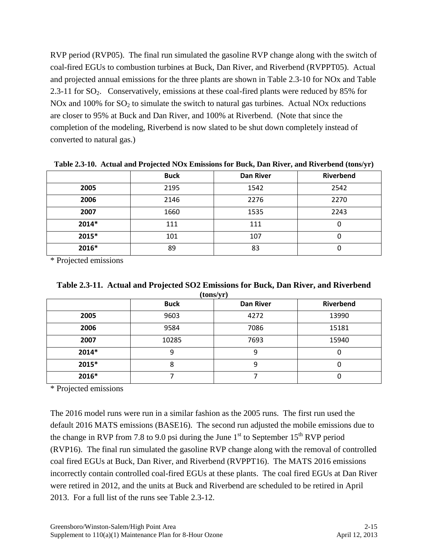RVP period (RVP05). The final run simulated the gasoline RVP change along with the switch of coal-fired EGUs to combustion turbines at Buck, Dan River, and Riverbend (RVPPT05). Actual and projected annual emissions for the three plants are shown in Table 2.3-10 for NOx and Table 2.3-11 for SO<sub>2</sub>. Conservatively, emissions at these coal-fired plants were reduced by 85% for NOx and 100% for  $SO_2$  to simulate the switch to natural gas turbines. Actual NOx reductions are closer to 95% at Buck and Dan River, and 100% at Riverbend. (Note that since the completion of the modeling, Riverbend is now slated to be shut down completely instead of converted to natural gas.)

|       | <b>Buck</b> | <b>Dan River</b> | <b>Riverbend</b> |
|-------|-------------|------------------|------------------|
| 2005  | 2195        | 1542             | 2542             |
| 2006  | 2146        | 2276             | 2270             |
| 2007  | 1660        | 1535             | 2243             |
| 2014* | 111         | 111              |                  |
| 2015* | 101         | 107              |                  |
| 2016* | 89          | 83               |                  |

**Table 2.3-10. Actual and Projected NOx Emissions for Buck, Dan River, and Riverbend (tons/yr)**

\* Projected emissions

| (tons/yr) |             |                  |           |  |  |  |  |
|-----------|-------------|------------------|-----------|--|--|--|--|
|           | <b>Buck</b> | <b>Dan River</b> | Riverbend |  |  |  |  |
| 2005      | 9603        | 4272             | 13990     |  |  |  |  |
| 2006      | 9584        | 7086             | 15181     |  |  |  |  |
| 2007      | 10285       | 7693             | 15940     |  |  |  |  |
| 2014*     | 9           | 9                | O         |  |  |  |  |
| 2015*     | 8           | 9                | U         |  |  |  |  |
| 2016*     |             |                  |           |  |  |  |  |

| Table 2.3-11. Actual and Projected SO2 Emissions for Buck, Dan River, and Riverbend |  |                         |  |  |  |  |
|-------------------------------------------------------------------------------------|--|-------------------------|--|--|--|--|
|                                                                                     |  | $(4 \times 1 \times 1)$ |  |  |  |  |

\* Projected emissions

The 2016 model runs were run in a similar fashion as the 2005 runs. The first run used the default 2016 MATS emissions (BASE16). The second run adjusted the mobile emissions due to the change in RVP from 7.8 to 9.0 psi during the June  $1<sup>st</sup>$  to September  $15<sup>th</sup>$  RVP period (RVP16). The final run simulated the gasoline RVP change along with the removal of controlled coal fired EGUs at Buck, Dan River, and Riverbend (RVPPT16). The MATS 2016 emissions incorrectly contain controlled coal-fired EGUs at these plants. The coal fired EGUs at Dan River were retired in 2012, and the units at Buck and Riverbend are scheduled to be retired in April 2013. For a full list of the runs see Table 2.3-12.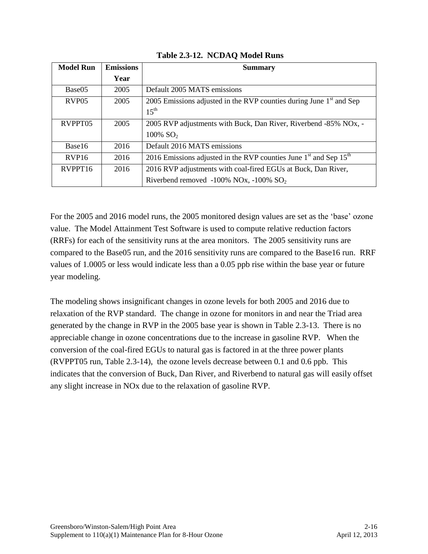| <b>Model Run</b>    | <b>Emissions</b> | <b>Summary</b>                                                                                                            |
|---------------------|------------------|---------------------------------------------------------------------------------------------------------------------------|
|                     | Year             |                                                                                                                           |
| Base <sub>05</sub>  | 2005             | Default 2005 MATS emissions                                                                                               |
| RVP <sub>05</sub>   | 2005             | 2005 Emissions adjusted in the RVP counties during June $1st$ and Sep<br>$15^{\text{th}}$                                 |
| RVPPT05             | 2005             | 2005 RVP adjustments with Buck, Dan River, Riverbend -85% NO <sub>x</sub> , -<br>$100\%$ SO <sub>2</sub>                  |
| Base16              | 2016             | Default 2016 MATS emissions                                                                                               |
| RVP <sub>16</sub>   | 2016             | 2016 Emissions adjusted in the RVP counties June $1st$ and Sep $15th$                                                     |
| RVPPT <sub>16</sub> | 2016             | 2016 RVP adjustments with coal-fired EGUs at Buck, Dan River,<br>Riverbend removed $-100\%$ NOx, $-100\%$ SO <sub>2</sub> |

### **Table 2.3-12. NCDAQ Model Runs**

For the 2005 and 2016 model runs, the 2005 monitored design values are set as the 'base' ozone value. The Model Attainment Test Software is used to compute relative reduction factors (RRFs) for each of the sensitivity runs at the area monitors. The 2005 sensitivity runs are compared to the Base05 run, and the 2016 sensitivity runs are compared to the Base16 run. RRF values of 1.0005 or less would indicate less than a 0.05 ppb rise within the base year or future year modeling.

The modeling shows insignificant changes in ozone levels for both 2005 and 2016 due to relaxation of the RVP standard. The change in ozone for monitors in and near the Triad area generated by the change in RVP in the 2005 base year is shown in Table 2.3-13. There is no appreciable change in ozone concentrations due to the increase in gasoline RVP. When the conversion of the coal-fired EGUs to natural gas is factored in at the three power plants (RVPPT05 run, Table 2.3-14), the ozone levels decrease between 0.1 and 0.6 ppb. This indicates that the conversion of Buck, Dan River, and Riverbend to natural gas will easily offset any slight increase in NOx due to the relaxation of gasoline RVP.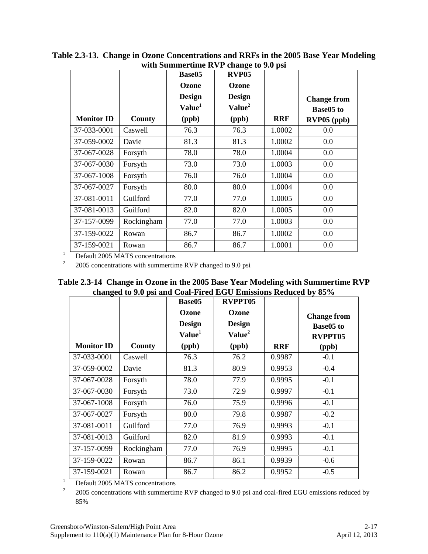|                   |            | Base05             | RVP <sub>05</sub>  |            |                    |
|-------------------|------------|--------------------|--------------------|------------|--------------------|
|                   |            | Ozone              | Ozone              |            |                    |
|                   |            | <b>Design</b>      | <b>Design</b>      |            | <b>Change from</b> |
|                   |            | Value <sup>1</sup> | Value <sup>2</sup> |            | <b>Base05 to</b>   |
| <b>Monitor ID</b> | County     | (ppb)              | (ppb)              | <b>RRF</b> | RVP05 (ppb)        |
| 37-033-0001       | Caswell    | 76.3               | 76.3               | 1.0002     | 0.0                |
| 37-059-0002       | Davie      | 81.3               | 81.3               | 1.0002     | 0.0                |
| 37-067-0028       | Forsyth    | 78.0               | 78.0               | 1.0004     | 0.0                |
| 37-067-0030       | Forsyth    | 73.0               | 73.0               | 1.0003     | 0.0                |
| 37-067-1008       | Forsyth    | 76.0               | 76.0               | 1.0004     | 0.0                |
| 37-067-0027       | Forsyth    | 80.0               | 80.0               | 1.0004     | 0.0                |
| 37-081-0011       | Guilford   | 77.0               | 77.0               | 1.0005     | 0.0                |
| 37-081-0013       | Guilford   | 82.0               | 82.0               | 1.0005     | 0.0                |
| 37-157-0099       | Rockingham | 77.0               | 77.0               | 1.0003     | 0.0                |
| 37-159-0022       | Rowan      | 86.7               | 86.7               | 1.0002     | 0.0                |
| 37-159-0021       | Rowan      | 86.7               | 86.7               | 1.0001     | 0.0                |

**Table 2.3-13. Change in Ozone Concentrations and RRFs in the 2005 Base Year Modeling with Summertime RVP change to 9.0 psi**

<sup>1</sup> Default 2005 MATS concentrations

2 2005 concentrations with summertime RVP changed to 9.0 psi

|  |  | Table 2.3-14 Change in Ozone in the 2005 Base Year Modeling with Summertime RVP |  |  |
|--|--|---------------------------------------------------------------------------------|--|--|
|  |  | changed to 9.0 psi and Coal-Fired EGU Emissions Reduced by 85%                  |  |  |

| 0                 |            | Base05<br>Ozone<br><b>Design</b><br>Value <sup>1</sup> | RVPPT05<br>Ozone<br><b>Design</b><br>Value <sup>2</sup> |            | <b>Change from</b><br>Base05 to<br>RVPPT05 |
|-------------------|------------|--------------------------------------------------------|---------------------------------------------------------|------------|--------------------------------------------|
| <b>Monitor ID</b> | County     | (ppb)                                                  | (ppb)                                                   | <b>RRF</b> | (ppb)                                      |
| 37-033-0001       | Caswell    | 76.3                                                   | 76.2                                                    | 0.9987     | $-0.1$                                     |
| 37-059-0002       | Davie      | 81.3                                                   | 80.9                                                    | 0.9953     | $-0.4$                                     |
| 37-067-0028       | Forsyth    | 78.0                                                   | 77.9                                                    | 0.9995     | $-0.1$                                     |
| 37-067-0030       | Forsyth    | 73.0                                                   | 72.9                                                    | 0.9997     | $-0.1$                                     |
| 37-067-1008       | Forsyth    | 76.0                                                   | 75.9                                                    | 0.9996     | $-0.1$                                     |
| 37-067-0027       | Forsyth    | 80.0                                                   | 79.8                                                    | 0.9987     | $-0.2$                                     |
| 37-081-0011       | Guilford   | 77.0                                                   | 76.9                                                    | 0.9993     | $-0.1$                                     |
| 37-081-0013       | Guilford   | 82.0                                                   | 81.9                                                    | 0.9993     | $-0.1$                                     |
| 37-157-0099       | Rockingham | 77.0                                                   | 76.9                                                    | 0.9995     | $-0.1$                                     |
| 37-159-0022       | Rowan      | 86.7                                                   | 86.1                                                    | 0.9939     | $-0.6$                                     |
| 37-159-0021       | Rowan      | 86.7                                                   | 86.2                                                    | 0.9952     | $-0.5$                                     |

<sup>1</sup> Default 2005 MATS concentrations

2 2005 concentrations with summertime RVP changed to 9.0 psi and coal-fired EGU emissions reduced by 85%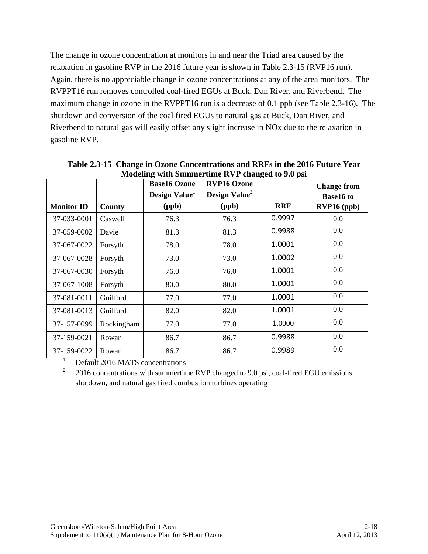The change in ozone concentration at monitors in and near the Triad area caused by the relaxation in gasoline RVP in the 2016 future year is shown in Table 2.3-15 (RVP16 run). Again, there is no appreciable change in ozone concentrations at any of the area monitors. The RVPPT16 run removes controlled coal-fired EGUs at Buck, Dan River, and Riverbend. The maximum change in ozone in the RVPPT16 run is a decrease of 0.1 ppb (see Table 2.3-16). The shutdown and conversion of the coal fired EGUs to natural gas at Buck, Dan River, and Riverbend to natural gas will easily offset any slight increase in NOx due to the relaxation in gasoline RVP.

|                   |            | <b>Base16 Ozone</b><br>Design Value <sup>1</sup> | <b>RVP16 Ozone</b><br>Design Value <sup>2</sup> |            | <b>Change from</b><br><b>Base16 to</b> |
|-------------------|------------|--------------------------------------------------|-------------------------------------------------|------------|----------------------------------------|
| <b>Monitor ID</b> | County     | (ppb)                                            | (ppb)                                           | <b>RRF</b> | RVP16 (ppb)                            |
| 37-033-0001       | Caswell    | 76.3                                             | 76.3                                            | 0.9997     | 0.0                                    |
| 37-059-0002       | Davie      | 81.3                                             | 81.3                                            | 0.9988     | 0.0                                    |
| 37-067-0022       | Forsyth    | 78.0                                             | 78.0                                            | 1.0001     | 0.0                                    |
| 37-067-0028       | Forsyth    | 73.0                                             | 73.0                                            | 1.0002     | 0.0                                    |
| 37-067-0030       | Forsyth    | 76.0                                             | 76.0                                            | 1.0001     | 0.0                                    |
| 37-067-1008       | Forsyth    | 80.0                                             | 80.0                                            | 1.0001     | 0.0                                    |
| 37-081-0011       | Guilford   | 77.0                                             | 77.0                                            | 1.0001     | 0.0                                    |
| 37-081-0013       | Guilford   | 82.0                                             | 82.0                                            | 1.0001     | 0.0                                    |
| 37-157-0099       | Rockingham | 77.0                                             | 77.0                                            | 1.0000     | 0.0                                    |
| 37-159-0021       | Rowan      | 86.7                                             | 86.7                                            | 0.9988     | 0.0                                    |
| 37-159-0022       | Rowan      | 86.7                                             | 86.7                                            | 0.9989     | 0.0                                    |

**Table 2.3-15 Change in Ozone Concentrations and RRFs in the 2016 Future Year Modeling with Summertime RVP changed to 9.0 psi**

<sup>1</sup> Default 2016 MATS concentrations

2 2016 concentrations with summertime RVP changed to 9.0 psi, coal-fired EGU emissions shutdown, and natural gas fired combustion turbines operating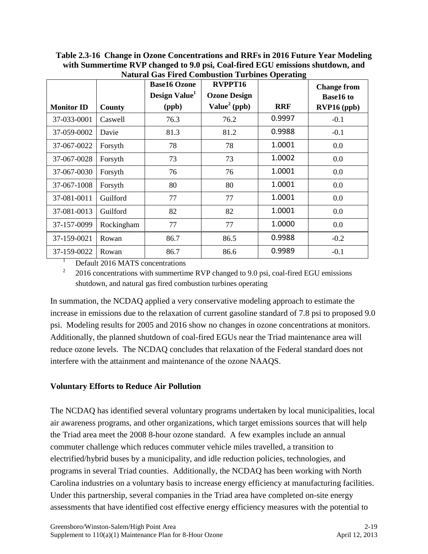**Table 2.3-16 Change in Ozone Concentrations and RRFs in 2016 Future Year Modeling with Summertime RVP changed to 9.0 psi, Coal-fired EGU emissions shutdown, and Natural Gas Fired Combustion Turbines Operating**

|                   |            | <b>Base16 Ozone</b><br>Design Value <sup>1</sup> | RVPPT16<br><b>Ozone Design</b> | ъ          | <b>Change from</b><br><b>Base16 to</b> |
|-------------------|------------|--------------------------------------------------|--------------------------------|------------|----------------------------------------|
| <b>Monitor ID</b> | County     | (ppb)                                            | Value <sup>2</sup> (ppb)       | <b>RRF</b> | RVP16 (ppb)                            |
| 37-033-0001       | Caswell    | 76.3                                             | 76.2                           | 0.9997     | $-0.1$                                 |
| 37-059-0002       | Davie      | 81.3                                             | 81.2                           | 0.9988     | $-0.1$                                 |
| 37-067-0022       | Forsyth    | 78                                               | 78                             | 1.0001     | 0.0                                    |
| 37-067-0028       | Forsyth    | 73                                               | 73                             | 1.0002     | 0.0                                    |
| 37-067-0030       | Forsyth    | 76                                               | 76                             | 1.0001     | 0.0                                    |
| 37-067-1008       | Forsyth    | 80                                               | 80                             | 1.0001     | 0.0                                    |
| 37-081-0011       | Guilford   | 77                                               | 77                             | 1.0001     | 0.0                                    |
| 37-081-0013       | Guilford   | 82                                               | 82                             | 1.0001     | 0.0                                    |
| 37-157-0099       | Rockingham | 77                                               | 77                             | 1.0000     | 0.0                                    |
| 37-159-0021       | Rowan      | 86.7                                             | 86.5                           | 0.9988     | $-0.2$                                 |
| 37-159-0022       | Rowan      | 86.7                                             | 86.6                           | 0.9989     | $-0.1$                                 |

Default 2016 MATS concentrations

2 2016 concentrations with summertime RVP changed to 9.0 psi, coal-fired EGU emissions shutdown, and natural gas fired combustion turbines operating

In summation, the NCDAQ applied a very conservative modeling approach to estimate the increase in emissions due to the relaxation of current gasoline standard of 7.8 psi to proposed 9.0 psi. Modeling results for 2005 and 2016 show no changes in ozone concentrations at monitors. Additionally, the planned shutdown of coal-fired EGUs near the Triad maintenance area will reduce ozone levels. The NCDAQ concludes that relaxation of the Federal standard does not interfere with the attainment and maintenance of the ozone NAAQS.

### **Voluntary Efforts to Reduce Air Pollution**

The NCDAQ has identified several voluntary programs undertaken by local municipalities, local air awareness programs, and other organizations, which target emissions sources that will help the Triad area meet the 2008 8-hour ozone standard. A few examples include an annual commuter challenge which reduces commuter vehicle miles travelled, a transition to electrified/hybrid buses by a municipality, and idle reduction policies, technologies, and programs in several Triad counties. Additionally, the NCDAQ has been working with North Carolina industries on a voluntary basis to increase energy efficiency at manufacturing facilities. Under this partnership, several companies in the Triad area have completed on-site energy assessments that have identified cost effective energy efficiency measures with the potential to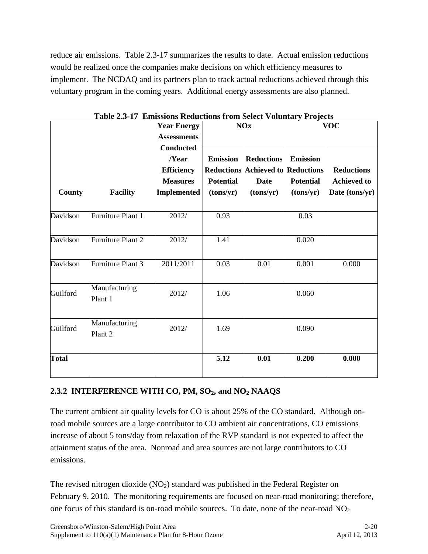reduce air emissions. Table 2.3-17 summarizes the results to date. Actual emission reductions would be realized once the companies make decisions on which efficiency measures to implement. The NCDAQ and its partners plan to track actual reductions achieved through this voluntary program in the coming years. Additional energy assessments are also planned.

|               |                          | <b>Year Energy</b> |                  | <b>NOx</b>                               | $-$ - $     -$<br><b>VOC</b> |                    |  |
|---------------|--------------------------|--------------------|------------------|------------------------------------------|------------------------------|--------------------|--|
|               |                          | <b>Assessments</b> |                  |                                          |                              |                    |  |
|               |                          | <b>Conducted</b>   |                  |                                          |                              |                    |  |
|               |                          | $\sqrt{Year}$      | <b>Emission</b>  | <b>Reductions</b>                        | <b>Emission</b>              |                    |  |
|               |                          | <b>Efficiency</b>  |                  | <b>Reductions Achieved to Reductions</b> |                              | <b>Reductions</b>  |  |
|               |                          | <b>Measures</b>    | <b>Potential</b> | <b>Date</b>                              | <b>Potential</b>             | <b>Achieved</b> to |  |
| <b>County</b> | <b>Facility</b>          | <b>Implemented</b> | (tons/yr)        | (tons/yr)                                | (tons/yr)                    | Date (tons/yr)     |  |
| Davidson      | Furniture Plant 1        | 2012/              | 0.93             |                                          | 0.03                         |                    |  |
| Davidson      | Furniture Plant 2        | 2012/              | 1.41             |                                          | 0.020                        |                    |  |
| Davidson      | Furniture Plant 3        | 2011/2011          | 0.03             | 0.01                                     | 0.001                        | 0.000              |  |
| Guilford      | Manufacturing<br>Plant 1 | 2012/              | 1.06             |                                          | 0.060                        |                    |  |
| Guilford      | Manufacturing<br>Plant 2 | 2012/              | 1.69             |                                          | 0.090                        |                    |  |
| <b>Total</b>  |                          |                    | 5.12             | 0.01                                     | 0.200                        | 0.000              |  |

**Table 2.3-17 Emissions Reductions from Select Voluntary Projects**

# <span id="page-33-0"></span>**2.3.2 INTERFERENCE WITH CO, PM, SO2, and NO<sup>2</sup> NAAQS**

The current ambient air quality levels for CO is about 25% of the CO standard. Although onroad mobile sources are a large contributor to CO ambient air concentrations, CO emissions increase of about 5 tons/day from relaxation of the RVP standard is not expected to affect the attainment status of the area. Nonroad and area sources are not large contributors to CO emissions.

The revised nitrogen dioxide  $(NO<sub>2</sub>)$  standard was published in the Federal Register on February 9, 2010. The monitoring requirements are focused on near-road monitoring; therefore, one focus of this standard is on-road mobile sources. To date, none of the near-road  $NO<sub>2</sub>$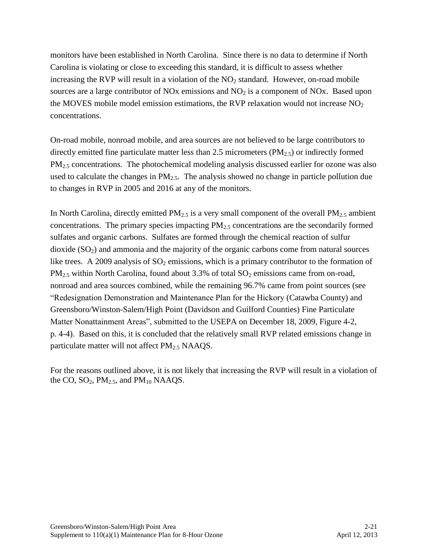monitors have been established in North Carolina. Since there is no data to determine if North Carolina is violating or close to exceeding this standard, it is difficult to assess whether increasing the RVP will result in a violation of the  $NO<sub>2</sub>$  standard. However, on-road mobile sources are a large contributor of NOx emissions and  $NO<sub>2</sub>$  is a component of NOx. Based upon the MOVES mobile model emission estimations, the RVP relaxation would not increase  $NO<sub>2</sub>$ concentrations.

On-road mobile, nonroad mobile, and area sources are not believed to be large contributors to directly emitted fine particulate matter less than  $2.5$  micrometers ( $PM<sub>2.5</sub>$ ) or indirectly formed PM<sub>2.5</sub> concentrations. The photochemical modeling analysis discussed earlier for ozone was also used to calculate the changes in  $PM_{2.5}$ . The analysis showed no change in particle pollution due to changes in RVP in 2005 and 2016 at any of the monitors.

In North Carolina, directly emitted  $PM_{2.5}$  is a very small component of the overall  $PM_{2.5}$  ambient concentrations. The primary species impacting  $PM<sub>2.5</sub>$  concentrations are the secondarily formed sulfates and organic carbons. Sulfates are formed through the chemical reaction of sulfur dioxide  $(SO<sub>2</sub>)$  and ammonia and the majority of the organic carbons come from natural sources like trees. A 2009 analysis of  $SO_2$  emissions, which is a primary contributor to the formation of  $PM_{2.5}$  within North Carolina, found about 3.3% of total  $SO_2$  emissions came from on-road, nonroad and area sources combined, while the remaining 96.7% came from point sources (see "Redesignation Demonstration and Maintenance Plan for the Hickory (Catawba County) and Greensboro/Winston-Salem/High Point (Davidson and Guilford Counties) Fine Particulate Matter Nonattainment Areas", submitted to the USEPA on December 18, 2009, Figure 4-2, p. 4-4). Based on this, it is concluded that the relatively small RVP related emissions change in particulate matter will not affect PM<sub>2.5</sub> NAAQS.

For the reasons outlined above, it is not likely that increasing the RVP will result in a violation of the CO,  $SO_2$ ,  $PM_{2.5}$ , and  $PM_{10}$  NAAQS.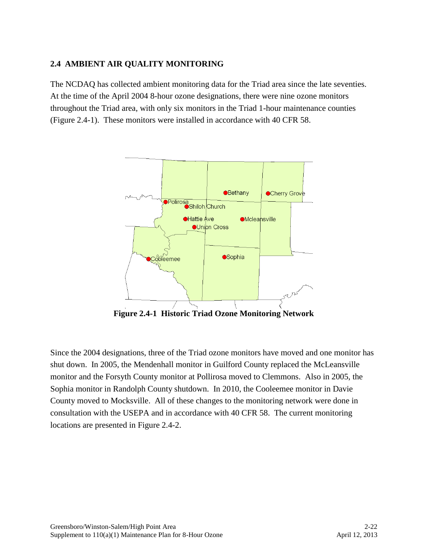## <span id="page-35-0"></span>**2.4 AMBIENT AIR QUALITY MONITORING**

The NCDAQ has collected ambient monitoring data for the Triad area since the late seventies. At the time of the April 2004 8-hour ozone designations, there were nine ozone monitors throughout the Triad area, with only six monitors in the Triad 1-hour maintenance counties (Figure 2.4-1). These monitors were installed in accordance with 40 CFR 58.



**Figure 2.4-1 Historic Triad Ozone Monitoring Network**

Since the 2004 designations, three of the Triad ozone monitors have moved and one monitor has shut down. In 2005, the Mendenhall monitor in Guilford County replaced the McLeansville monitor and the Forsyth County monitor at Pollirosa moved to Clemmons. Also in 2005, the Sophia monitor in Randolph County shutdown. In 2010, the Cooleemee monitor in Davie County moved to Mocksville. All of these changes to the monitoring network were done in consultation with the USEPA and in accordance with 40 CFR 58. The current monitoring locations are presented in Figure 2.4-2.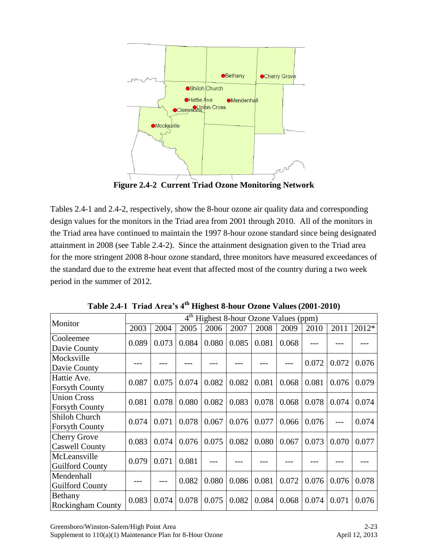

**Figure 2.4-2 Current Triad Ozone Monitoring Network**

Tables 2.4-1 and 2.4-2, respectively, show the 8-hour ozone air quality data and corresponding design values for the monitors in the Triad area from 2001 through 2010. All of the monitors in the Triad area have continued to maintain the 1997 8-hour ozone standard since being designated attainment in 2008 (see Table 2.4-2). Since the attainment designation given to the Triad area for the more stringent 2008 8-hour ozone standard, three monitors have measured exceedances of the standard due to the extreme heat event that affected most of the country during a two week period in the summer of 2012.

| Monitor                  | Highest 8-hour Ozone Values (ppm) |       |       |       |       |       |       |       |       |       |
|--------------------------|-----------------------------------|-------|-------|-------|-------|-------|-------|-------|-------|-------|
|                          | 2003                              | 2004  | 2005  | 2006  | 2007  | 2008  | 2009  | 2010  | 2011  | 2012* |
| Cooleemee                | 0.089                             | 0.073 | 0.084 | 0.080 | 0.085 | 0.081 | 0.068 |       |       |       |
| Davie County             |                                   |       |       |       |       |       |       |       |       |       |
| Mocksville               |                                   |       |       |       |       |       |       | 0.072 | 0.072 | 0.076 |
| Davie County             |                                   |       |       |       |       |       |       |       |       |       |
| Hattie Ave.              | 0.087                             | 0.075 | 0.074 | 0.082 | 0.082 | 0.081 | 0.068 | 0.081 | 0.076 | 0.079 |
| <b>Forsyth County</b>    |                                   |       |       |       |       |       |       |       |       |       |
| <b>Union Cross</b>       | 0.081                             | 0.078 | 0.080 | 0.082 | 0.083 | 0.078 | 0.068 | 0.078 | 0.074 | 0.074 |
| <b>Forsyth County</b>    |                                   |       |       |       |       |       |       |       |       |       |
| <b>Shiloh Church</b>     | 0.074                             | 0.071 | 0.078 | 0.067 | 0.076 | 0.077 | 0.066 | 0.076 |       | 0.074 |
| <b>Forsyth County</b>    |                                   |       |       |       |       |       |       |       |       |       |
| <b>Cherry Grove</b>      | 0.083                             | 0.074 | 0.076 | 0.075 | 0.082 | 0.080 | 0.067 | 0.073 | 0.070 | 0.077 |
| <b>Caswell County</b>    |                                   |       |       |       |       |       |       |       |       |       |
| McLeansville             | 0.079                             | 0.071 | 0.081 |       |       |       |       |       |       |       |
| <b>Guilford County</b>   |                                   |       |       |       |       |       |       |       |       |       |
| Mendenhall               |                                   |       |       | 0.080 |       | 0.081 | 0.072 | 0.076 |       | 0.078 |
| <b>Guilford County</b>   |                                   |       | 0.082 |       | 0.086 |       |       |       | 0.076 |       |
| Bethany                  | 0.083                             | 0.074 | 0.078 | 0.075 | 0.082 | 0.084 | 0.068 | 0.074 | 0.071 | 0.076 |
| <b>Rockingham County</b> |                                   |       |       |       |       |       |       |       |       |       |

**Table 2.4-1 Triad Area's 4th Highest 8-hour Ozone Values(2001-2010)**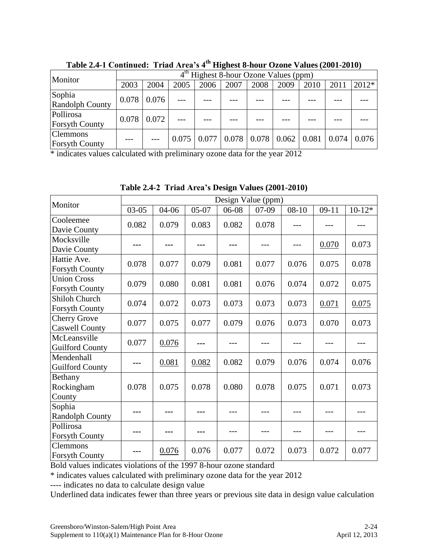| Monitor                                  | Highest 8-hour Ozone Values (ppm) |       |       |       |      |                                 |      |      |       |       |
|------------------------------------------|-----------------------------------|-------|-------|-------|------|---------------------------------|------|------|-------|-------|
|                                          | 2003                              | 2004  | 2005  | 2006  | 2007 | 2008                            | 2009 | 2010 | 2011  | 2012* |
| Sophia                                   | 0.078                             | 0.076 |       |       |      |                                 |      |      |       |       |
| <b>Randolph County</b>                   |                                   |       |       |       |      |                                 |      |      |       |       |
| Pollirosa                                | 0.078                             | 0.072 |       |       |      |                                 |      |      |       |       |
| <b>Forsyth County</b>                    |                                   |       |       |       |      |                                 |      |      |       |       |
| <b>Clemmons</b><br><b>Forsyth County</b> |                                   |       | 0.075 | 0.077 |      | $0.078$   0.078   0.062   0.081 |      |      | 0.074 | 0.076 |

**Table 2.4-1 Continued: Triad Area's 4th Highest 8-hour Ozone Values (2001-2010)**

\* indicates values calculated with preliminary ozone data for the year 2012

|                                              | Design Value (ppm) |       |         |       |       |           |         |          |  |  |
|----------------------------------------------|--------------------|-------|---------|-------|-------|-----------|---------|----------|--|--|
| Monitor                                      | $03-05$            | 04-06 | $05-07$ | 06-08 | 07-09 | $08 - 10$ | $09-11$ | $10-12*$ |  |  |
| Cooleemee<br>Davie County                    | 0.082              | 0.079 | 0.083   | 0.082 | 0.078 |           |         |          |  |  |
| Mocksville<br>Davie County                   |                    |       |         |       |       |           | 0.070   | 0.073    |  |  |
| Hattie Ave.<br><b>Forsyth County</b>         | 0.078              | 0.077 | 0.079   | 0.081 | 0.077 | 0.076     | 0.075   | 0.078    |  |  |
| <b>Union Cross</b><br><b>Forsyth County</b>  | 0.079              | 0.080 | 0.081   | 0.081 | 0.076 | 0.074     | 0.072   | 0.075    |  |  |
| Shiloh Church<br><b>Forsyth County</b>       | 0.074              | 0.072 | 0.073   | 0.073 | 0.073 | 0.073     | 0.071   | 0.075    |  |  |
| <b>Cherry Grove</b><br><b>Caswell County</b> | 0.077              | 0.075 | 0.077   | 0.079 | 0.076 | 0.073     | 0.070   | 0.073    |  |  |
| McLeansville<br><b>Guilford County</b>       | 0.077              | 0.076 |         |       |       |           |         |          |  |  |
| Mendenhall<br><b>Guilford County</b>         |                    | 0.081 | 0.082   | 0.082 | 0.079 | 0.076     | 0.074   | 0.076    |  |  |
| Bethany<br>Rockingham<br>County              | 0.078              | 0.075 | 0.078   | 0.080 | 0.078 | 0.075     | 0.071   | 0.073    |  |  |
| Sophia<br>Randolph County                    |                    |       |         |       |       |           |         |          |  |  |
| Pollirosa<br><b>Forsyth County</b>           | ---                |       | ---     |       |       |           |         |          |  |  |
| <b>Clemmons</b><br><b>Forsyth County</b>     |                    | 0.076 | 0.076   | 0.077 | 0.072 | 0.073     | 0.072   | 0.077    |  |  |

**Table 2.4-2 Triad Area's Design Values (2001-2010)**

Bold values indicates violations of the 1997 8-hour ozone standard

\* indicates values calculated with preliminary ozone data for the year 2012

---- indicates no data to calculate design value

Underlined data indicates fewer than three years or previous site data in design value calculation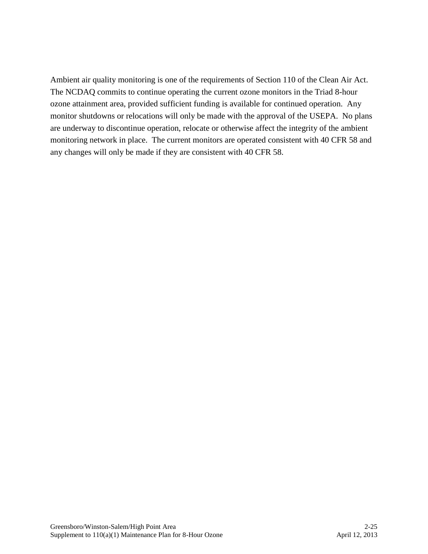Ambient air quality monitoring is one of the requirements of Section 110 of the Clean Air Act. The NCDAQ commits to continue operating the current ozone monitors in the Triad 8-hour ozone attainment area, provided sufficient funding is available for continued operation. Any monitor shutdowns or relocations will only be made with the approval of the USEPA. No plans are underway to discontinue operation, relocate or otherwise affect the integrity of the ambient monitoring network in place. The current monitors are operated consistent with 40 CFR 58 and any changes will only be made if they are consistent with 40 CFR 58.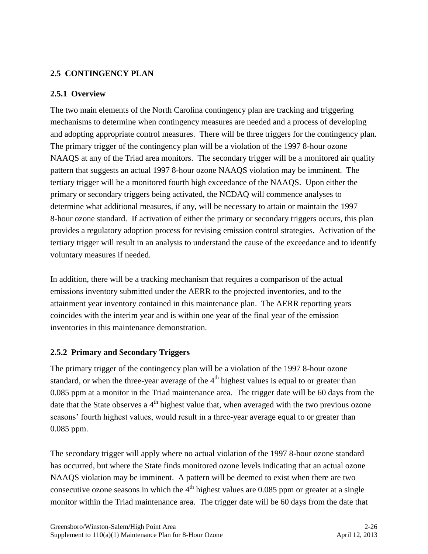## <span id="page-39-0"></span>**2.5 CONTINGENCY PLAN**

## <span id="page-39-1"></span>**2.5.1 Overview**

The two main elements of the North Carolina contingency plan are tracking and triggering mechanisms to determine when contingency measures are needed and a process of developing and adopting appropriate control measures. There will be three triggers for the contingency plan. The primary trigger of the contingency plan will be a violation of the 1997 8-hour ozone NAAQS at any of the Triad area monitors. The secondary trigger will be a monitored air quality pattern that suggests an actual 1997 8-hour ozone NAAQS violation may be imminent. The tertiary trigger will be a monitored fourth high exceedance of the NAAQS. Upon either the primary or secondary triggers being activated, the NCDAQ will commence analyses to determine what additional measures, if any, will be necessary to attain or maintain the 1997 8-hour ozone standard. If activation of either the primary or secondary triggers occurs, this plan provides a regulatory adoption process for revising emission control strategies. Activation of the tertiary trigger will result in an analysis to understand the cause of the exceedance and to identify voluntary measures if needed.

In addition, there will be a tracking mechanism that requires a comparison of the actual emissions inventory submitted under the AERR to the projected inventories, and to the attainment year inventory contained in this maintenance plan. The AERR reporting years coincides with the interim year and is within one year of the final year of the emission inventories in this maintenance demonstration.

### <span id="page-39-2"></span>**2.5.2 Primary and Secondary Triggers**

The primary trigger of the contingency plan will be a violation of the 1997 8-hour ozone standard, or when the three-year average of the  $4<sup>th</sup>$  highest values is equal to or greater than 0.085 ppm at a monitor in the Triad maintenance area. The trigger date will be 60 days from the date that the State observes a  $4<sup>th</sup>$  highest value that, when averaged with the two previous ozone seasons' fourth highest values, would result in a three-year average equal to or greater than 0.085 ppm.

The secondary trigger will apply where no actual violation of the 1997 8-hour ozone standard has occurred, but where the State finds monitored ozone levels indicating that an actual ozone NAAQS violation may be imminent. A pattern will be deemed to exist when there are two consecutive ozone seasons in which the  $4<sup>th</sup>$  highest values are 0.085 ppm or greater at a single monitor within the Triad maintenance area. The trigger date will be 60 days from the date that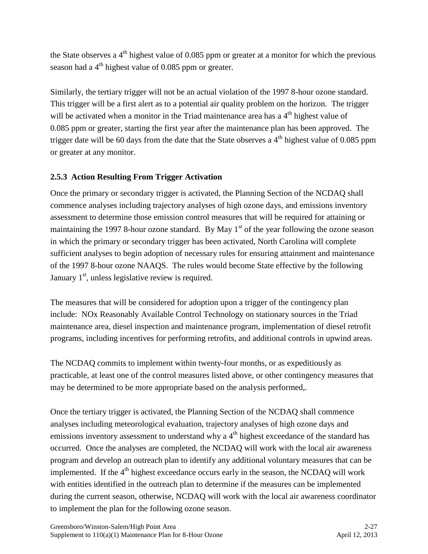the State observes a  $4<sup>th</sup>$  highest value of 0.085 ppm or greater at a monitor for which the previous season had a  $4<sup>th</sup>$  highest value of 0.085 ppm or greater.

Similarly, the tertiary trigger will not be an actual violation of the 1997 8-hour ozone standard. This trigger will be a first alert as to a potential air quality problem on the horizon. The trigger will be activated when a monitor in the Triad maintenance area has a  $4<sup>th</sup>$  highest value of 0.085 ppm or greater, starting the first year after the maintenance plan has been approved. The trigger date will be 60 days from the date that the State observes a  $4<sup>th</sup>$  highest value of 0.085 ppm or greater at any monitor.

# <span id="page-40-0"></span>**2.5.3 Action Resulting From Trigger Activation**

Once the primary or secondary trigger is activated, the Planning Section of the NCDAQ shall commence analyses including trajectory analyses of high ozone days, and emissions inventory assessment to determine those emission control measures that will be required for attaining or maintaining the 1997 8-hour ozone standard. By May  $1<sup>st</sup>$  of the year following the ozone season in which the primary or secondary trigger has been activated, North Carolina will complete sufficient analyses to begin adoption of necessary rules for ensuring attainment and maintenance of the 1997 8-hour ozone NAAQS. The rules would become State effective by the following January  $1<sup>st</sup>$ , unless legislative review is required.

The measures that will be considered for adoption upon a trigger of the contingency plan include: NOx Reasonably Available Control Technology on stationary sources in the Triad maintenance area, diesel inspection and maintenance program, implementation of diesel retrofit programs, including incentives for performing retrofits, and additional controls in upwind areas.

The NCDAQ commits to implement within twenty-four months, or as expeditiously as practicable, at least one of the control measures listed above, or other contingency measures that may be determined to be more appropriate based on the analysis performed,.

Once the tertiary trigger is activated, the Planning Section of the NCDAQ shall commence analyses including meteorological evaluation, trajectory analyses of high ozone days and emissions inventory assessment to understand why a  $4<sup>th</sup>$  highest exceedance of the standard has occurred. Once the analyses are completed, the NCDAQ will work with the local air awareness program and develop an outreach plan to identify any additional voluntary measures that can be implemented. If the  $4<sup>th</sup>$  highest exceedance occurs early in the season, the NCDAO will work with entities identified in the outreach plan to determine if the measures can be implemented during the current season, otherwise, NCDAQ will work with the local air awareness coordinator to implement the plan for the following ozone season.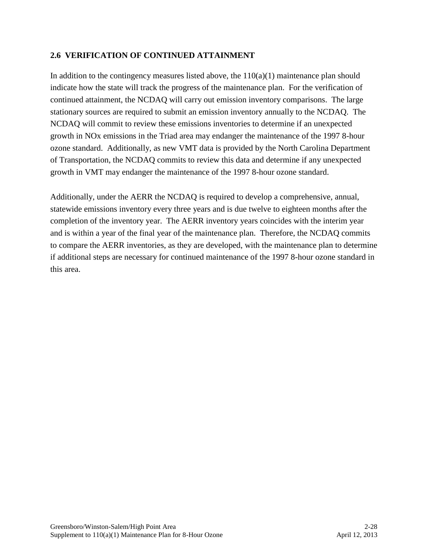## <span id="page-41-0"></span>**2.6 VERIFICATION OF CONTINUED ATTAINMENT**

In addition to the contingency measures listed above, the  $110(a)(1)$  maintenance plan should indicate how the state will track the progress of the maintenance plan. For the verification of continued attainment, the NCDAQ will carry out emission inventory comparisons. The large stationary sources are required to submit an emission inventory annually to the NCDAQ. The NCDAQ will commit to review these emissions inventories to determine if an unexpected growth in NOx emissions in the Triad area may endanger the maintenance of the 1997 8-hour ozone standard. Additionally, as new VMT data is provided by the North Carolina Department of Transportation, the NCDAQ commits to review this data and determine if any unexpected growth in VMT may endanger the maintenance of the 1997 8-hour ozone standard.

Additionally, under the AERR the NCDAQ is required to develop a comprehensive, annual, statewide emissions inventory every three years and is due twelve to eighteen months after the completion of the inventory year. The AERR inventory years coincides with the interim year and is within a year of the final year of the maintenance plan. Therefore, the NCDAQ commits to compare the AERR inventories, as they are developed, with the maintenance plan to determine if additional steps are necessary for continued maintenance of the 1997 8-hour ozone standard in this area.